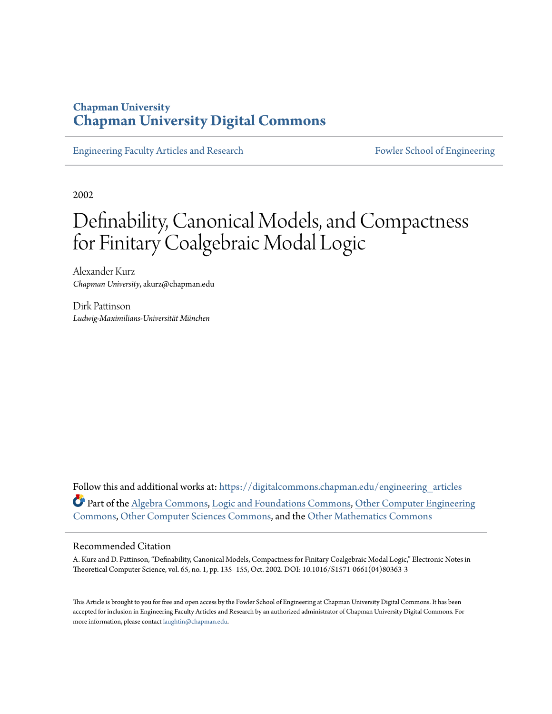# **Chapman University [Chapman University Digital Commons](https://digitalcommons.chapman.edu?utm_source=digitalcommons.chapman.edu%2Fengineering_articles%2F31&utm_medium=PDF&utm_campaign=PDFCoverPages)**

[Engineering Faculty Articles and Research](https://digitalcommons.chapman.edu/engineering_articles?utm_source=digitalcommons.chapman.edu%2Fengineering_articles%2F31&utm_medium=PDF&utm_campaign=PDFCoverPages) [Fowler School of Engineering](https://digitalcommons.chapman.edu/fowler_engineering?utm_source=digitalcommons.chapman.edu%2Fengineering_articles%2F31&utm_medium=PDF&utm_campaign=PDFCoverPages)

2002

# Definability, Canonical Models, and Compactness for Finitary Coalgebraic Modal Logic

Alexander Kurz *Chapman University*, akurz@chapman.edu

Dirk Pattinson *Ludwig-Maximilians-Universität München*

Follow this and additional works at: [https://digitalcommons.chapman.edu/engineering\\_articles](https://digitalcommons.chapman.edu/engineering_articles?utm_source=digitalcommons.chapman.edu%2Fengineering_articles%2F31&utm_medium=PDF&utm_campaign=PDFCoverPages) Part of the [Algebra Commons,](http://network.bepress.com/hgg/discipline/175?utm_source=digitalcommons.chapman.edu%2Fengineering_articles%2F31&utm_medium=PDF&utm_campaign=PDFCoverPages) [Logic and Foundations Commons](http://network.bepress.com/hgg/discipline/182?utm_source=digitalcommons.chapman.edu%2Fengineering_articles%2F31&utm_medium=PDF&utm_campaign=PDFCoverPages), [Other Computer Engineering](http://network.bepress.com/hgg/discipline/265?utm_source=digitalcommons.chapman.edu%2Fengineering_articles%2F31&utm_medium=PDF&utm_campaign=PDFCoverPages) [Commons,](http://network.bepress.com/hgg/discipline/265?utm_source=digitalcommons.chapman.edu%2Fengineering_articles%2F31&utm_medium=PDF&utm_campaign=PDFCoverPages) [Other Computer Sciences Commons,](http://network.bepress.com/hgg/discipline/152?utm_source=digitalcommons.chapman.edu%2Fengineering_articles%2F31&utm_medium=PDF&utm_campaign=PDFCoverPages) and the [Other Mathematics Commons](http://network.bepress.com/hgg/discipline/185?utm_source=digitalcommons.chapman.edu%2Fengineering_articles%2F31&utm_medium=PDF&utm_campaign=PDFCoverPages)

#### Recommended Citation

A. Kurz and D. Pattinson, "Definability, Canonical Models, Compactness for Finitary Coalgebraic Modal Logic," Electronic Notes in Theoretical Computer Science, vol. 65, no. 1, pp. 135–155, Oct. 2002. DOI: 10.1016/S1571-0661(04)80363-3

This Article is brought to you for free and open access by the Fowler School of Engineering at Chapman University Digital Commons. It has been accepted for inclusion in Engineering Faculty Articles and Research by an authorized administrator of Chapman University Digital Commons. For more information, please contact [laughtin@chapman.edu](mailto:laughtin@chapman.edu).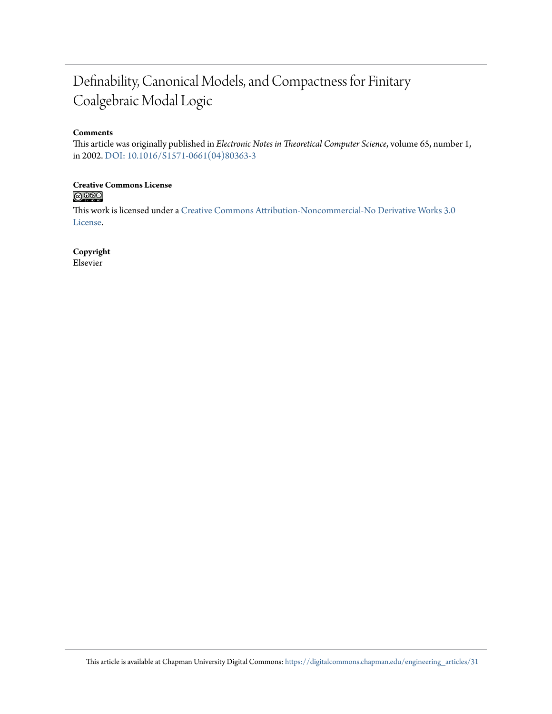# Definability, Canonical Models, and Compactness for Finitary Coalgebraic Modal Logic

#### **Comments**

This article was originally published in *Electronic Notes in Theoretical Computer Science*, volume 65, number 1, in 2002. [DOI: 10.1016/S1571-0661\(04\)80363-3](https://doi.org/10.1016/S1571-0661(04)80363-3)

# **Creative Commons License**<br> **C** 080

This work is licensed under a [Creative Commons Attribution-Noncommercial-No Derivative Works 3.0](https://creativecommons.org/licenses/by-nc-nd/3.0/) [License.](https://creativecommons.org/licenses/by-nc-nd/3.0/)

**Copyright**

Elsevier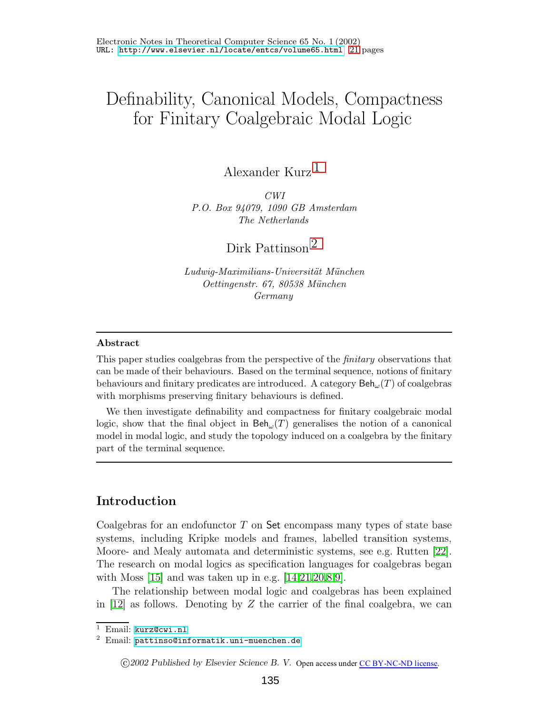# Definability, Canonical Models, Compactness for Finitary Coalgebraic Modal Logic

Alexander Kurz [1](#page-2-0)

*CWI P.O. Box 94079, 1090 GB Amsterdam The Netherlands*

Dirk Pattinson [2](#page-2-0)

*Ludwig-Maximilians-Universit¨at M¨unchen Oettingenstr. 67, 80538 M¨unchen Germany*

#### <span id="page-2-0"></span>**Abstract**

This paper studies coalgebras from the perspective of the *finitary* observations that can be made of their behaviours. Based on the terminal sequence, notions of finitary behaviours and finitary predicates are introduced. A category  $\text{Beh}_{\omega}(T)$  of coalgebras with morphisms preserving finitary behaviours is defined.

We then investigate definability and compactness for finitary coalgebraic modal logic, show that the final object in  $\text{Beh}_{\omega}(T)$  generalises the notion of a canonical model in modal logic, and study the topology induced on a coalgebra by the finitary part of the terminal sequence.

## **Introduction**

Coalgebras for an endofunctor <sup>T</sup> on Set encompass many types of state base systems, including Kripke models and frames, labelled transition systems, Moore- and Mealy automata and deterministic systems, see e.g. Rutten [\[22\]](#page-21-0). The research on modal logics as specification languages for coalgebras began with Moss  $|15|$  and was taken up in e.g.  $|14,21,20,8,9|$  $|14,21,20,8,9|$  $|14,21,20,8,9|$  $|14,21,20,8,9|$  $|14,21,20,8,9|$ .

The relationship between modal logic and coalgebras has been explained in  $[12]$  as follows. Denoting by Z the carrier of the final coalgebra, we can

c *2002 Published by Elsevier Science B. V.* Open access under [CC BY-NC-ND license.](http://creativecommons.org/licenses/by-nc-nd/3.0/)

<sup>1</sup> Email: [kurz@cwi.nl](mailto:kurz@cwi.nl)

<sup>2</sup> Email: [pattinso@informatik.uni-muenchen.de](mailto:pattinso@informatik.uni-muenchen.de)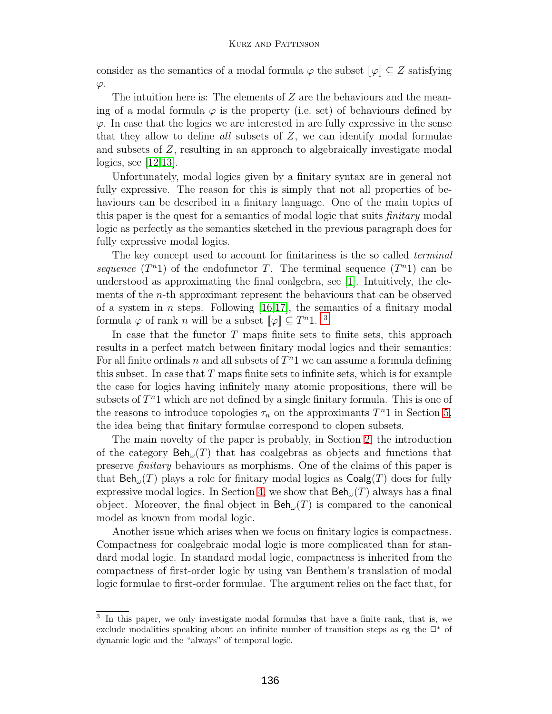consider as the semantics of a modal formula  $\varphi$  the subset  $\llbracket \varphi \rrbracket \subset Z$  satisfying  $\varphi$ .

The intuition here is: The elements of  $Z$  are the behaviours and the meaning of a modal formula  $\varphi$  is the property (i.e. set) of behaviours defined by  $\varphi$ . In case that the logics we are interested in are fully expressive in the sense that they allow to define all subsets of Z, we can identify modal formulae and subsets of Z, resulting in an approach to algebraically investigate modal logics, see [\[12](#page-21-6)[,13\]](#page-21-7).

Unfortunately, modal logics given by a finitary syntax are in general not fully expressive. The reason for this is simply that not all properties of behaviours can be described in a finitary language. One of the main topics of this paper is the quest for a semantics of modal logic that suits *finitary* modal logic as perfectly as the semantics sketched in the previous paragraph does for fully expressive modal logics.

The key concept used to account for finitariness is the so called *terminal* sequence  $(T^{n_1})$  of the endofunctor T. The terminal sequence  $(T^{n_1})$  can be understood as approximating the final coalgebra, see  $[1]$ . Intuitively, the elements of the n-th approximant represent the behaviours that can be observed of a system in *n* steps. Following [\[16](#page-21-8)[,17\]](#page-21-9), the semantics of a finitary modal formula  $\varphi$  of rank *n* will be a subset  $\llbracket \varphi \rrbracket \subseteq T^n1$ . <sup>[3](#page-3-0)</sup>

In case that the functor  $T$  maps finite sets to finite sets, this approach results in a perfect match between finitary modal logics and their semantics: For all finite ordinals n and all subsets of  $T<sup>n</sup>1$  we can assume a formula defining this subset. In case that  $T$  maps finite sets to infinite sets, which is for example the case for logics having infinitely many atomic propositions, there will be subsets of  $T<sup>n</sup>1$  which are not defined by a single finitary formula. This is one of the reasons to introduce topologies  $\tau_n$  on the approximants  $T^n1$  in Section [5,](#page-14-0) the idea being that finitary formulae correspond to clopen subsets.

The main novelty of the paper is probably, in Section [2,](#page-8-0) the introduction of the category  $\text{Beh}_{\omega}(T)$  that has coalgebras as objects and functions that preserve *finitary* behaviours as morphisms. One of the claims of this paper is that  $Beh_{\omega}(T)$  plays a role for finitary modal logics as  $Coalg(T)$  does for fully expressive modal logics. In Section [4,](#page-11-0) we show that  $\text{Beh}_{\omega}(T)$  always has a final object. Moreover, the final object in  $\text{Beh}_{\omega}(T)$  is compared to the canonical model as known from modal logic.

Another issue which arises when we focus on finitary logics is compactness. Compactness for coalgebraic modal logic is more complicated than for standard modal logic.In standard modal logic, compactness is inherited from the compactness of first-order logic by using van Benthem's translation of modal logic formulae to first-order formulae. The argument relies on the fact that, for

<span id="page-3-0"></span><sup>3</sup> In this paper, we only investigate modal formulas that have a finite rank, that is, we exclude modalities speaking about an infinite number of transition steps as eg the  $\Box^*$  of dynamic logic and the "always" of temporal logic.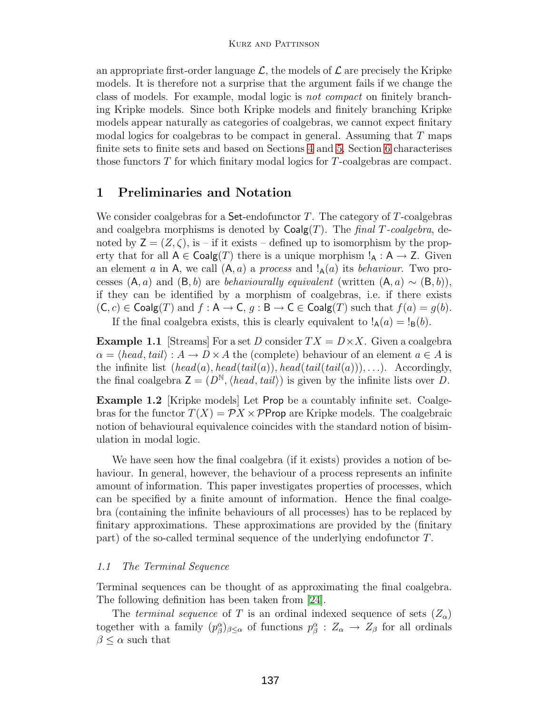#### Kurz and Pattinson

an appropriate first-order language  $\mathcal{L}$ , the models of  $\mathcal{L}$  are precisely the Kripke models.It is therefore not a surprise that the argument fails if we change the class of models. For example, modal logic is *not compact* on finitely branching Kripke models. Since both Kripke models and finitely branching Kripke models appear naturally as categories of coalgebras, we cannot expect finitary modal logics for coalgebras to be compact in general. Assuming that  $T$  maps finite sets to finite sets and based on Sections [4](#page-11-0) and [5,](#page-14-0) Section [6](#page-17-0) characterises those functors T for which finitary modal logics for T-coalgebras are compact.

## **1 Preliminaries and Notation**

We consider coalgebras for a  $Set$ -endofunctor T. The category of  $T$ -coalgebras and coalgebra morphisms is denoted by  $Coalg(T)$ . The final T-coalgebra, denoted by  $Z = (Z, \zeta)$ , is – if it exists – defined up to isomorphism by the property that for all  $A \in \text{Coalg}(T)$  there is a unique morphism  $!_A : A \to Z$ . Given an element a in A, we call  $(A, a)$  a process and  $A(a)$  its behaviour. Two processes  $(A, a)$  and  $(B, b)$  are *behaviourally equivalent* (written  $(A, a) \sim (B, b)$ ), if they can be identified by a morphism of coalgebras, i.e. if there exists  $(C, c) \in \text{Coalg}(T)$  and  $f : A \to C$ ,  $g : B \to C \in \text{Coalg}(T)$  such that  $f(a) = g(b)$ .

If the final coalgebra exists, this is clearly equivalent to  $!_A(a) = 1_B(b)$ .

**Example 1.1** [Streams] For a set D consider  $TX = D \times X$ . Given a coalgebra  $\alpha = \langle head, tail \rangle : A \to D \times A$  the (complete) behaviour of an element  $a \in A$  is the infinite list  $(head(a), head(tail(a)), head(tail(tail(a))), \ldots)$ . Accordingly, the final coalgebra  $\mathsf{Z} = (D^{\mathbb{N}}, \langle head, tail \rangle)$  is given by the infinite lists over D.

**Example 1.2** [Kripke models] Let Prop be a countably infinite set. Coalgebras for the functor  $T(X) = \mathcal{P} X \times \mathcal{P}$ Prop are Kripke models. The coalgebraic notion of behavioural equivalence coincides with the standard notion of bisimulation in modal logic.

We have seen how the final coalgebra (if it exists) provides a notion of behaviour. In general, however, the behaviour of a process represents an infinite amount of information.This paper investigates properties of processes, which can be specified by a finite amount of information. Hence the final coalgebra (containing the infinite behaviours of all processes) has to be replaced by finitary approximations. These approximations are provided by the (finitary part) of the so-called terminal sequence of the underlying endofunctor T.

#### 1.1 The Terminal Sequence

Terminal sequences can be thought of as approximating the final coalgebra. The following definition has been taken from [\[24\]](#page-22-0).

The terminal sequence of T is an ordinal indexed sequence of sets  $(Z_{\alpha})$ together with a family  $(p^{\alpha}_{\beta})_{\beta \leq \alpha}$  of functions  $p^{\alpha}_{\beta}: Z_{\alpha} \to Z_{\beta}$  for all ordinals  $\beta \leq \alpha$  such that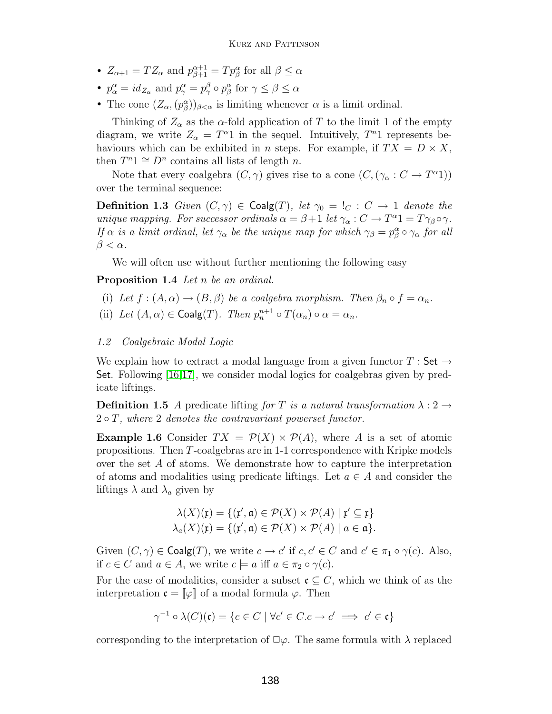- $Z_{\alpha+1} = TZ_{\alpha}$  and  $p_{\beta+1}^{\alpha+1} = Tp_{\beta}^{\alpha}$  for all  $\beta \leq \alpha$
- $p_{\alpha}^{\alpha} = id_{Z_{\alpha}}$  and  $p_{\gamma}^{\alpha} = p_{\gamma}^{\beta} \circ p_{\beta}^{\alpha}$  for  $\gamma \leq \beta \leq \alpha$
- The cone  $(Z_\alpha, (p_\beta^\alpha))_{\beta < \alpha}$  is limiting whenever  $\alpha$  is a limit ordinal.

Thinking of  $Z_{\alpha}$  as the  $\alpha$ -fold application of T to the limit 1 of the empty diagram, we write  $Z_{\alpha} = T^{\alpha}1$  in the sequel. Intuitively,  $T^{n}1$  represents behaviours which can be exhibited in *n* steps. For example, if  $TX = D \times X$ , then  $T^n1 \cong D^n$  contains all lists of length n.

<span id="page-5-0"></span>Note that every coalgebra  $(C, \gamma)$  gives rise to a cone  $(C, (\gamma_{\alpha}: C \to T^{\alpha}1))$ over the terminal sequence:

**Definition 1.3** Given  $(C, \gamma) \in \text{Coalg}(T)$ , let  $\gamma_0 = I_C : C \to 1$  denote the unique mapping. For successor ordinals  $\alpha = \beta + 1$  let  $\gamma_{\alpha}: C \to T^{\alpha}1 = T\gamma_{\beta} \circ \gamma$ . If  $\alpha$  is a limit ordinal, let  $\gamma_\alpha$  be the unique map for which  $\gamma_\beta = p_\beta^\alpha \circ \gamma_\alpha$  for all  $\beta < \alpha$ .

We will often use without further mentioning the following easy

<span id="page-5-2"></span>**Proposition 1.4** Let n be an ordinal.

- (i) Let  $f : (A, \alpha) \to (B, \beta)$  be a coalgebra morphism. Then  $\beta_n \circ f = \alpha_n$ .
- (ii) Let  $(A, \alpha) \in \text{Coalg}(T)$ . Then  $p_n^{n+1} \circ T(\alpha_n) \circ \alpha = \alpha_n$ .

#### 1.2 Coalgebraic Modal Logic

We explain how to extract a modal language from a given functor  $T : Set \rightarrow$ Set. Following  $[16,17]$  $[16,17]$ , we consider modal logics for coalgebras given by predicate liftings.

**Definition 1.5** A predicate lifting for T is a natural transformation  $\lambda: 2 \rightarrow$  $2 \circ T$ , where 2 denotes the contravariant powerset functor.

<span id="page-5-1"></span>**Example 1.6** Consider  $TX = \mathcal{P}(X) \times \mathcal{P}(A)$ , where A is a set of atomic propositions.Then T-coalgebras are in 1-1 correspondence with Kripke models over the set A of atoms.We demonstrate how to capture the interpretation of atoms and modalities using predicate liftings. Let  $a \in A$  and consider the liftings  $\lambda$  and  $\lambda_a$  given by

$$
\lambda(X)(\mathfrak{x}) = \{(\mathfrak{x}', \mathfrak{a}) \in \mathcal{P}(X) \times \mathcal{P}(A) \mid \mathfrak{x}' \subseteq \mathfrak{x}\}
$$

$$
\lambda_a(X)(\mathfrak{x}) = \{(\mathfrak{x}', \mathfrak{a}) \in \mathcal{P}(X) \times \mathcal{P}(A) \mid a \in \mathfrak{a}\}.
$$

Given  $(C, \gamma) \in \mathsf{Coalg}(T)$ , we write  $c \to c'$  if  $c, c' \in C$  and  $c' \in \pi_1 \circ \gamma(c)$ . Also, if  $c \in C$  and  $a \in A$ , we write  $c \models a$  iff  $a \in \pi_2 \circ \gamma(c)$ .

For the case of modalities, consider a subset  $c \subset C$ , which we think of as the interpretation  $\mathfrak{c} = [\![\varphi]\!]$  of a modal formula  $\varphi$ . Then

$$
\gamma^{-1} \circ \lambda(C)(\mathfrak{c}) = \{c \in C \mid \forall c' \in C.c \to c' \implies c' \in \mathfrak{c}\}\
$$

corresponding to the interpretation of  $\square \varphi$ . The same formula with  $\lambda$  replaced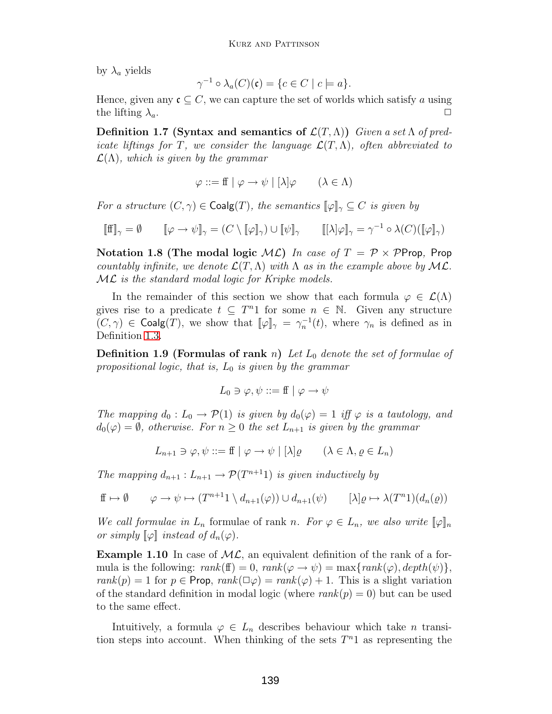by  $\lambda_a$  yields

$$
\gamma^{-1} \circ \lambda_a(C)(\mathfrak{c}) = \{c \in C \mid c \models a\}.
$$

Hence, given any  $\mathfrak{c} \subset C$ , we can capture the set of worlds which satisfy a using the lifting  $\lambda_a$ .

**Definition 1.7 (Syntax and semantics of**  $\mathcal{L}(T,\Lambda)$ **)** Given a set  $\Lambda$  of predicate liftings for T, we consider the language  $\mathcal{L}(T,\Lambda)$ , often abbreviated to  $\mathcal{L}(\Lambda)$ , which is given by the grammar

$$
\varphi ::= f f \mid \varphi \to \psi \mid [\lambda] \varphi \qquad (\lambda \in \Lambda)
$$

For a structure  $(C, \gamma) \in \text{Coalg}(T)$ , the semantics  $[\varphi]_{\gamma} \subseteq C$  is given by

$$
[\![\mathbf{f}]\!]_{\gamma} = \emptyset \qquad [\![\varphi \to \psi]\!]_{\gamma} = (C \setminus [\![\varphi]\!]_{\gamma}) \cup [\![\psi]\!]_{\gamma} \qquad [[\lambda]\varphi]\!]_{\gamma} = \gamma^{-1} \circ \lambda(C)([\![\varphi]\!]_{\gamma})
$$

**Notation 1.8 (The modal logic**  $ML$ **) In case of**  $T = \mathcal{P} \times \mathcal{P}$ **Prop, Prop** countably infinite, we denote  $\mathcal{L}(T,\Lambda)$  with  $\Lambda$  as in the example above by ML. ML is the standard modal logic for Kripke models.

In the remainder of this section we show that each formula  $\varphi \in \mathcal{L}(\Lambda)$ gives rise to a predicate  $t \subseteq T^n1$  for some  $n \in \mathbb{N}$ . Given any structure  $(C, \gamma) \in \text{Coalg}(T)$ , we show that  $[\![\varphi]\!]_{\gamma} = \gamma_n^{-1}(t)$ , where  $\gamma_n$  is defined as in Definition 1.3 Definition [1.3.](#page-5-0)

<span id="page-6-0"></span>**Definition 1.9 (Formulas of rank** n) Let  $L_0$  denote the set of formulae of propositional logic, that is,  $L_0$  is given by the grammar

$$
L_0 \ni \varphi, \psi ::= \mathbf{f} \mid \varphi \to \psi
$$

The mapping  $d_0: L_0 \to \mathcal{P}(1)$  is given by  $d_0(\varphi)=1$  iff  $\varphi$  is a tautology, and  $d_0(\varphi) = \emptyset$ , otherwise. For  $n \geq 0$  the set  $L_{n+1}$  is given by the grammar

$$
L_{n+1} \ni \varphi, \psi ::= \text{ff} \mid \varphi \to \psi \mid [\lambda] \varrho \qquad (\lambda \in \Lambda, \varrho \in L_n)
$$

The mapping  $d_{n+1}: L_{n+1} \to \mathcal{P}(T^{n+1})$  is given inductively by

$$
\mathbf{f} \mapsto \emptyset \qquad \varphi \to \psi \mapsto (T^{n+1} \mathbf{1} \setminus d_{n+1}(\varphi)) \cup d_{n+1}(\psi) \qquad [\lambda] \varrho \mapsto \lambda(T^n \mathbf{1}) (d_n(\varrho))
$$

We call formulae in  $L_n$  formulae of rank n. For  $\varphi \in L_n$ , we also write  $[\varphi]_n$ or simply  $\llbracket \varphi \rrbracket$  instead of  $d_n(\varphi)$ .

**Example 1.10** In case of  $ML$ , an equivalent definition of the rank of a formula is the following:  $rank(f) = 0$ ,  $rank(\varphi \to \psi) = max{rank(\varphi), depth(\psi)},$  $rank(p) = 1$  for  $p \in Prop, rank(\Box \varphi) = rank(\varphi) + 1$ . This is a slight variation of the standard definition in modal logic (where  $rank(p) = 0$ ) but can be used to the same effect.

Intuitively, a formula  $\varphi \in L_n$  describes behaviour which take n transition steps into account. When thinking of the sets  $T<sup>n</sup>1$  as representing the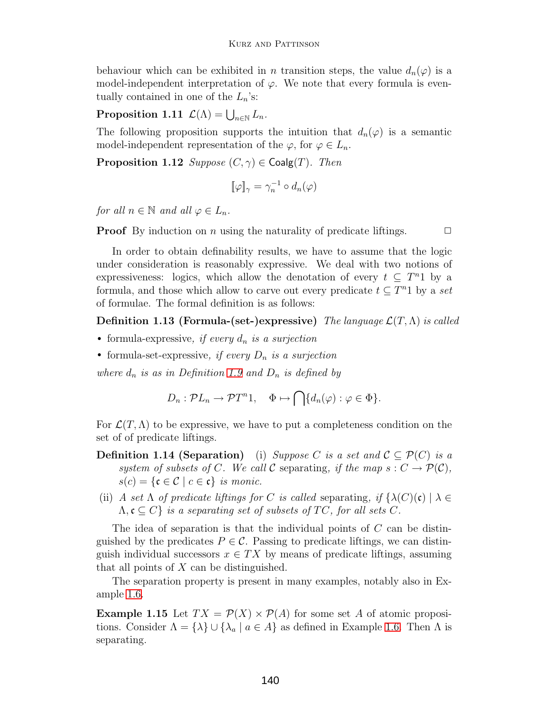behaviour which can be exhibited in *n* transition steps, the value  $d_n(\varphi)$  is a model-independent interpretation of  $\varphi$ . We note that every formula is eventually contained in one of the  $L_n$ 's:

**Proposition 1.11**  $\mathcal{L}(\Lambda) = \bigcup_{n \in \mathbb{N}} L_n$ .

The following proposition supports the intuition that  $d_n(\varphi)$  is a semantic model-independent representation of the  $\varphi$ , for  $\varphi \in L_n$ .

**Proposition 1.12** Suppose  $(C, \gamma) \in \text{Coalg}(T)$ . Then

$$
[\![\varphi]\!]_\gamma = \gamma_n^{-1} \circ d_n(\varphi)
$$

for all  $n \in \mathbb{N}$  and all  $\varphi \in L_n$ .

**Proof** By induction on *n* using the naturality of predicate liftings.  $\Box$ 

In order to obtain definability results, we have to assume that the logic under consideration is reasonably expressive.We deal with two notions of expressiveness: logics, which allow the denotation of every  $t \subseteq T^n1$  by a formula, and those which allow to carve out every predicate  $t \subseteq T^n1$  by a set of formulae.The formal definition is as follows:

**Definition 1.13 (Formula-(set-)expressive)** The language  $\mathcal{L}(T,\Lambda)$  is called

- formula-expressive, if every  $d_n$  is a surjection
- formula-set-expressive, if every  $D_n$  is a surjection

where  $d_n$  is as in Definition [1.9](#page-6-0) and  $D_n$  is defined by

$$
D_n: \mathcal{P}L_n \to \mathcal{P}T^n 1, \quad \Phi \mapsto \bigcap \{d_n(\varphi) : \varphi \in \Phi\}.
$$

For  $\mathcal{L}(T,\Lambda)$  to be expressive, we have to put a completeness condition on the set of of predicate liftings.

- **Definition 1.14 (Separation)** (i) Suppose C is a set and  $\mathcal{C} \subseteq \mathcal{P}(C)$  is a system of subsets of C. We call C separating, if the map  $s: C \to \mathcal{P}(\mathcal{C}),$  $s(c) = \{c \in C \mid c \in c\}$  is monic.
- (ii) A set  $\Lambda$  of predicate liftings for C is called separating, if  $\{\lambda(C)(\mathfrak{c}) \mid \lambda \in$  $\Lambda, \mathfrak{c} \subseteq C$  is a separating set of subsets of TC, for all sets C.

The idea of separation is that the individual points of  $C$  can be distinguished by the predicates  $P \in \mathcal{C}$ . Passing to predicate liftings, we can distinguish individual successors  $x \in TX$  by means of predicate liftings, assuming that all points of  $X$  can be distinguished.

The separation property is present in many examples, notably also in Example [1.6.](#page-5-1)

**Example 1.15** Let  $TX = \mathcal{P}(X) \times \mathcal{P}(A)$  for some set A of atomic propositions. Consider  $\Lambda = {\lambda} \cup {\lambda_a | a \in A}$  as defined in Example [1.6.](#page-5-1) Then  $\Lambda$  is separating.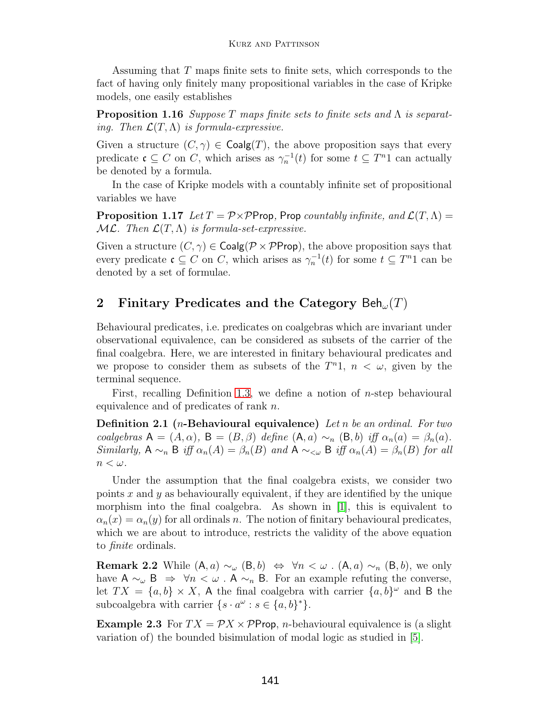Assuming that T maps finite sets to finite sets, which corresponds to the fact of having only finitely many propositional variables in the case of Kripke models, one easily establishes

<span id="page-8-1"></span>**Proposition 1.16** Suppose T maps finite sets to finite sets and Λ is separating. Then  $\mathcal{L}(T,\Lambda)$  is formula-expressive.

Given a structure  $(C, \gamma) \in \text{Coalg}(T)$ , the above proposition says that every predicate  $\mathfrak{c} \subseteq C$  on C, which arises as  $\gamma_n^{-1}(t)$  for some  $t \subseteq T^n1$  can actually be denoted by a formula.

<span id="page-8-2"></span>In the case of Kripke models with a countably infinite set of propositional variables we have

**Proposition 1.17** Let  $T = \mathcal{P} \times \mathcal{P}$ Prop, Prop countably infinite, and  $\mathcal{L}(T,\Lambda)$  $ML$ . Then  $\mathcal{L}(T,\Lambda)$  is formula-set-expressive.

Given a structure  $(C, \gamma) \in \text{Coalg}(\mathcal{P} \times \mathcal{P} \text{Prop})$ , the above proposition says that every predicate  $\mathfrak{c} \subseteq C$  on C, which arises as  $\gamma_n^{-1}(t)$  for some  $t \subseteq T^n1$  can be denoted by a set of formulae.

# <span id="page-8-0"></span>**2** Finitary Predicates and the Category  $\text{Beh}_{\omega}(T)$

Behavioural predicates, i.e. predicates on coalgebras which are invariant under observational equivalence, can be considered as subsets of the carrier of the final coalgebra.Here, we are interested in finitary behavioural predicates and we propose to consider them as subsets of the  $T<sup>n</sup>1$ ,  $n < \omega$ , given by the terminal sequence.

First, recalling Definition [1.3,](#page-5-0) we define a notion of *n*-step behavioural equivalence and of predicates of rank n.

**Definition 2.1 (**n**-Behavioural equivalence)** Let n be an ordinal. For two coalgebras  $A = (A, \alpha)$ ,  $B = (B, \beta)$  define  $(A, a) \sim_n (B, b)$  iff  $\alpha_n(a) = \beta_n(a)$ . Similarly,  $A \sim_n B$  iff  $\alpha_n(A) = \beta_n(B)$  and  $A \sim_{\leq \omega} B$  iff  $\alpha_n(A) = \beta_n(B)$  for all  $n<\omega$ .

Under the assumption that the final coalgebra exists, we consider two points x and y as behaviourally equivalent, if they are identified by the unique morphism into the final coalgebra. As shown in  $[1]$ , this is equivalent to  $\alpha_n(x) = \alpha_n(y)$  for all ordinals n. The notion of finitary behavioural predicates, which we are about to introduce, restricts the validity of the above equation to finite ordinals.

**Remark 2.2** While  $(A, a) \sim_{\omega} (B, b) \Leftrightarrow \forall n < \omega$ .  $(A, a) \sim_{n} (B, b)$ , we only have  $A \sim_{\omega} B \Rightarrow \forall n \langle \omega \cdot A \sim_n B$ . For an example refuting the converse, let  $TX = \{a, b\} \times X$ , A the final coalgebra with carrier  $\{a, b\}^{\omega}$  and B the subcoalgebra with carrier  $\{s \cdot a^{\omega} : s \in \{a, b\}^*\}.$ 

<span id="page-8-3"></span>**Example 2.3** For  $TX = \mathcal{P}X \times \mathcal{P}$ Prop, *n*-behavioural equivalence is (a slight variation of) the bounded bisimulation of modal logic as studied in [\[5\]](#page-20-2).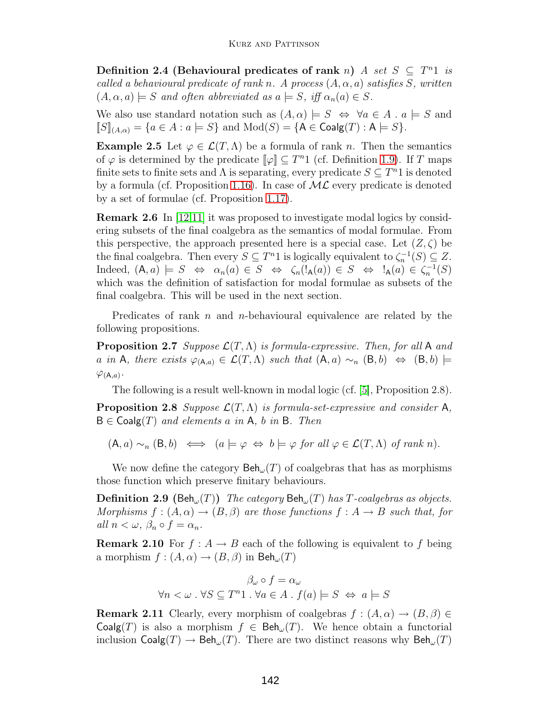**Definition 2.4 (Behavioural predicates of rank n)** A set  $S \subseteq T^n1$  is called a behavioural predicate of rank n. A process  $(A, \alpha, a)$  satisfies S, written  $(A, \alpha, a) \models S$  and often abbreviated as  $a \models S$ , iff  $\alpha_n(a) \in S$ .

We also use standard notation such as  $(A, \alpha) \models S \Leftrightarrow \forall a \in A \land a \models S$  and  $\llbracket S \rrbracket_{(A,\alpha)} = \{a \in A : a \models S\}$  and  $\text{Mod}(S) = \{\mathsf{A} \in \textsf{Coalg}(T) : \mathsf{A} \models S\}.$ 

**Example 2.5** Let  $\varphi \in \mathcal{L}(T,\Lambda)$  be a formula of rank *n*. Then the semantics of  $\varphi$  is determined by the predicate  $\llbracket \varphi \rrbracket \subseteq T^n1$  (cf. Definition [1.9\)](#page-6-0). If T maps finite sets to finite sets and  $\Lambda$  is separating, every predicate  $S \subseteq T^n1$  is denoted by a formula (cf. Proposition [1.16\)](#page-8-1). In case of  $ML$  every predicate is denoted by a set of formulae (cf. Proposition [1.17\)](#page-8-2).

**Remark 2.6** In [\[12,](#page-21-6)[11\]](#page-21-10) it was proposed to investigate modal logics by considering subsets of the final coalgebra as the semantics of modal formulae.From this perspective, the approach presented here is a special case. Let  $(Z, \zeta)$  be the final coalgebra. Then every  $S \subseteq T^n1$  is logically equivalent to  $\zeta_n^{-1}(S) \subseteq Z$ . Indeed,  $(A, a) \models S \Leftrightarrow \alpha_n(a) \in S \Leftrightarrow \zeta_n(!_{\mathsf{A}}(a)) \in S \Leftrightarrow !_{\mathsf{A}}(a) \in \zeta_n^{-1}(S)$ which was the definition of satisfaction for modal formulae as subsets of the final coalgebra. This will be used in the next section.

Predicates of rank n and n-behavioural equivalence are related by the following propositions.

**Proposition 2.7** Suppose  $\mathcal{L}(T,\Lambda)$  is formula-expressive. Then, for all A and a in A, there exists  $\varphi_{(A,a)} \in \mathcal{L}(T,\Lambda)$  such that  $(A,a) \sim_n (B,b) \Leftrightarrow (B,b) \models$  $\varphi_{(A,a)}$ .

The following is a result well-known in modal logic (cf. [\[5\]](#page-20-2), Proposition 2.8).

<span id="page-9-1"></span>**Proposition 2.8** Suppose  $\mathcal{L}(T,\Lambda)$  is formula-set-expressive and consider A,  $B \in \text{Coalg}(T)$  and elements a in A, b in B. Then

 $(A, a) \sim_n (B, b) \iff (a \models \varphi \Leftrightarrow b \models \varphi \text{ for all } \varphi \in \mathcal{L}(T, \Lambda) \text{ of } rank n).$ 

<span id="page-9-0"></span>We now define the category  $\text{Beh}_{\omega}(T)$  of coalgebras that has as morphisms those function which preserve finitary behaviours.

**Definition 2.9 (Beh<sub>ω</sub>(T)**) The category  $\text{Beh}_{\omega}(T)$  has T-coalgebras as objects. Morphisms  $f:(A,\alpha)\to (B,\beta)$  are those functions  $f:A\to B$  such that, for all  $n < \omega, \beta_n \circ f = \alpha_n$ .

**Remark 2.10** For  $f : A \rightarrow B$  each of the following is equivalent to f being a morphism  $f : (A, \alpha) \to (B, \beta)$  in  $\text{Beh}_{\omega}(T)$ 

$$
\beta_{\omega} \circ f = \alpha_{\omega}
$$
  

$$
\forall n < \omega \,.\,\forall S \subseteq T^{n}1 \,.\,\forall a \in A \,.\,f(a) \models S \Leftrightarrow a \models S
$$

**Remark 2.11** Clearly, every morphism of coalgebras  $f : (A, \alpha) \to (B, \beta) \in$ Coalg(T) is also a morphism  $f \in \text{Beh}_{\omega}(T)$ . We hence obtain a functorial inclusion  $\mathsf{Coalg}(T) \to \mathsf{Beh}_{\omega}(T)$ . There are two distinct reasons why  $\mathsf{Beh}_{\omega}(T)$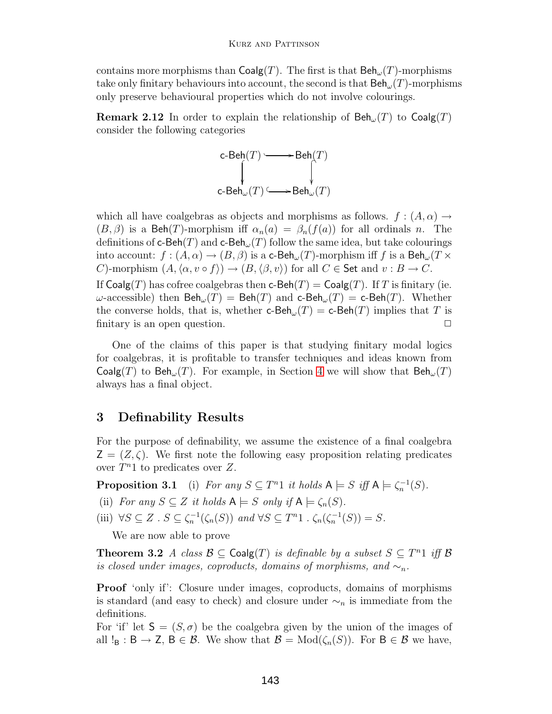contains more morphisms than  $\mathsf{Coalg}(T)$ . The first is that  $\mathsf{Beh}_{\omega}(T)$ -morphisms take only finitary behaviours into account, the second is that  $\textsf{Beh}_{\omega}(T)$ -morphisms only preserve behavioural properties which do not involve colourings.

**Remark 2.12** In order to explain the relationship of  $\text{Beh}_{\omega}(T)$  to  $\text{Coalg}(T)$ consider the following categories



which all have coalgebras as objects and morphisms as follows.  $f : (A, \alpha) \rightarrow$  $(B, \beta)$  is a Beh(T)-morphism iff  $\alpha_n(a) = \beta_n(f(a))$  for all ordinals n. The definitions of c-Beh(T) and c-Beh<sub> $\omega$ </sub>(T) follow the same idea, but take colourings into account:  $f : (A, \alpha) \to (B, \beta)$  is a c-Beh<sub>ω</sub> $(T)$ -morphism iff f is a Beh<sub>ω</sub> $(T \times$ C)-morphism  $(A, \langle \alpha, v \circ f \rangle) \to (B, \langle \beta, v \rangle)$  for all  $C \in$  Set and  $v : B \to C$ . If  $\textsf{Coalg}(T)$  has cofree coalgebras then  $\textsf{c-Beh}(T) = \textsf{Coalg}(T)$ . If T is finitary (ie.

 $ω$ -accessible) then  $\text{Beh}_ω(T) = \text{Beh}(T)$  and c- $\text{Beh}_ω(T) = \text{c-Beh}(T)$ . Whether the converse holds, that is, whether **c-Beh** $_{\omega}(T) =$  **c-Beh** $(T)$  implies that T is finitary is an open question. finitary is an open question.

One of the claims of this paper is that studying finitary modal logics for coalgebras, it is profitable to transfer techniques and ideas known from Coalg(T) to Beh<sub> $\omega$ </sub>(T). For example, in Section [4](#page-11-0) we will show that  $\text{Beh}_{\omega}(T)$ always has a final object.

### **3 Definability Results**

For the purpose of definability, we assume the existence of a final coalgebra  $\mathsf{Z} = (Z, \zeta)$ . We first note the following easy proposition relating predicates over  $T^n1$  to predicates over Z.

<span id="page-10-0"></span>**Proposition 3.1** (i) For any  $S \subseteq T^n1$  it holds  $A \models S$  iff  $A \models \zeta_n^{-1}(S)$ .

- (ii) For any  $S \subseteq Z$  it holds  $A \models S$  only if  $A \models \zeta_n(S)$ .
- (iii)  $\forall S \subseteq Z$ .  $S \subseteq \zeta_n^{-1}(\zeta_n(S))$  and  $\forall S \subseteq T^n1$ .  $\zeta_n(\zeta_n^{-1}(S)) = S$ .

We are now able to prove

**Theorem 3.2** A class  $\mathcal{B} \subseteq \text{Coalg}(T)$  is definable by a subset  $S \subseteq T^n1$  iff  $\mathcal{B}$ is closed under images, coproducts, domains of morphisms, and  $\sim_n$ .

**Proof** 'only if': Closure under images, coproducts, domains of morphisms is standard (and easy to check) and closure under  $\sim_n$  is immediate from the definitions.

For 'if' let  $S = (S, \sigma)$  be the coalgebra given by the union of the images of all  $!_B : B \to Z$ ,  $B \in \mathcal{B}$ . We show that  $\mathcal{B} = Mod(\zeta_n(S))$ . For  $B \in \mathcal{B}$  we have,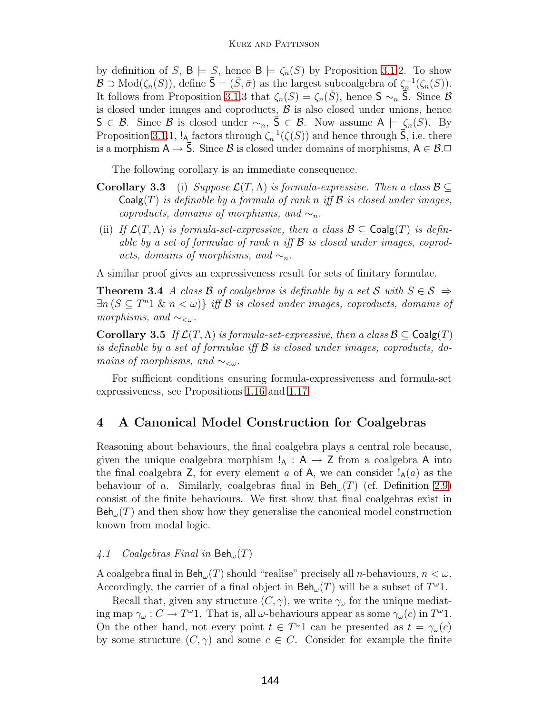by definition of S,  $B \models S$ , hence  $B \models \zeta_n(S)$  by Proposition [3.1.](#page-10-0)2. To show  $B \supset Mod(\zeta(S))$  define  $\overline{S} - (\overline{S} \overline{\sigma})$  as the largest subcoalgebra of  $\zeta^{-1}(\zeta(S))$  $\mathcal{B} \supset \text{Mod}(\zeta_n(S))$ , define  $\bar{\mathsf{S}} = (\bar{S}, \bar{\sigma})$  as the largest subcoalgebra of  $\zeta_n^{-1}(\zeta_n(S))$ .<br>It follows from Proposition 3.1.3 that  $\zeta_n(S) = \zeta_n(\bar{S})$  hance  $\mathsf{S} \supset \bar{\mathsf{S}}$ . Since  $\mathcal{B}$ It follows from Proposition [3.1.](#page-10-0)3 that  $\zeta_n(S) = \zeta_n(\bar{S})$ , hence  $S \sim_n \bar{S}$ . Since B is closed under images and coproducts,  $\beta$  is also closed under unions, hence S ∈ B. Since B is closed under  $\sim_n$ ,  $\bar{S} \in \mathcal{B}$ . Now assume A  $\models \zeta_n(S)$ . By Proposition [3.1.](#page-10-0)1,  $!_{\mathbf{A}}$  factors through  $\zeta_n^{-1}(\zeta(S))$  and hence through  $\bar{\mathsf{S}}$ , i.e. there is a morphism  $A \to \overline{S}$ . Since B is closed under domains of morphisms,  $A \in \mathcal{B}$ .

The following corollary is an immediate consequence.

- **Corollary 3.3** (i) Suppose  $\mathcal{L}(T,\Lambda)$  is formula-expressive. Then a class  $\mathcal{B} \subseteq$  $Coalg(T)$  is definable by a formula of rank n iff B is closed under images, coproducts, domains of morphisms, and  $\sim_n$ .
- (ii) If  $\mathcal{L}(T,\Lambda)$  is formula-set-expressive, then a class  $\mathcal{B} \subseteq \mathsf{Coalg}(T)$  is definable by a set of formulae of rank n iff  $\beta$  is closed under images, coproducts, domains of morphisms, and  $\sim_n$ .

A similar proof gives an expressiveness result for sets of finitary formulae.

**Theorem 3.4** A class B of coalgebras is definable by a set S with  $S \in \mathcal{S} \Rightarrow$  $\exists n (S \subseteq T^n 1 \& n < \omega) \}$  iff B is closed under images, coproducts, domains of morphisms, and  $\sim_{\leq \omega}$ .

**Corollary 3.5** If  $\mathcal{L}(T,\Lambda)$  is formula-set-expressive, then a class  $\mathcal{B} \subseteq \mathsf{Coalg}(T)$ is definable by a set of formulae iff  $\mathcal B$  is closed under images, coproducts, domains of morphisms, and  $\sim_{\lt \omega}$ .

For sufficient conditions ensuring formula-expressiveness and formula-set expressiveness, see Propositions [1.16](#page-8-1) and [1.17.](#page-8-2)

# <span id="page-11-0"></span>**4 A Canonical Model Construction for Coalgebras**

Reasoning about behaviours, the final coalgebra plays a central role because, given the unique coalgebra morphism  $!_A : A \rightarrow Z$  from a coalgebra A into the final coalgebra Z, for every element a of A, we can consider  $\lambda_A(a)$  as the behaviour of a. Similarly, coalgebras final in  $\text{Beh}_{\omega}(T)$  (cf. Definition [2.9\)](#page-9-0) consist of the finite behaviours.We first show that final coalgebras exist in  $\text{Beh}_{\omega}(T)$  and then show how they generalise the canonical model construction known from modal logic.

#### 4.1 Coalgebras Final in  $\mathsf{Beh}_\omega(T)$

A coalgebra final in  $\mathsf{Beh}_{\omega}(T)$  should "realise" precisely all *n*-behaviours,  $n < \omega$ . Accordingly, the carrier of a final object in  $\text{Beh}_{\omega}(T)$  will be a subset of  $T^{\omega}1$ .

Recall that, given any structure  $(C, \gamma)$ , we write  $\gamma_{\omega}$  for the unique mediating map  $\gamma_\omega : C \to T^\omega 1$ . That is, all  $\omega$ -behaviours appear as some  $\gamma_\omega(c)$  in  $T^\omega 1$ . On the other hand, not every point  $t \in T^{\omega}1$  can be presented as  $t = \gamma_{\omega}(c)$ by some structure  $(C, \gamma)$  and some  $c \in C$ . Consider for example the finite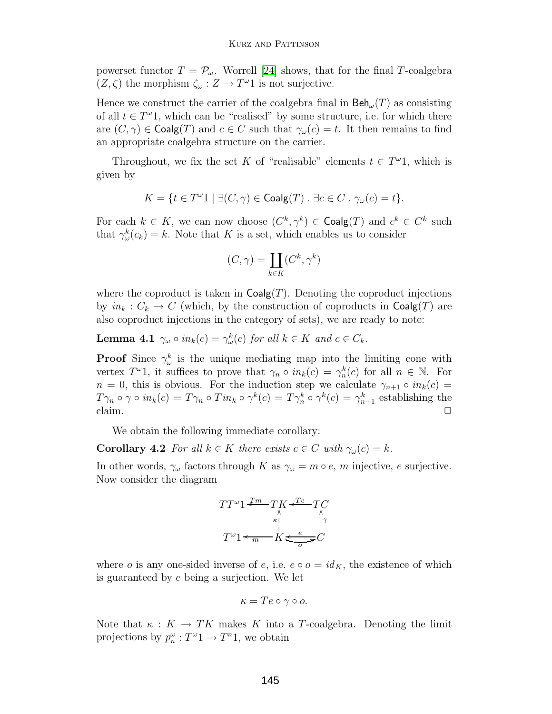powerset functor  $T = \mathcal{P}_{\omega}$ . Worrell [\[24\]](#page-22-0) shows, that for the final T-coalgebra  $(Z, \zeta)$  the morphism  $\zeta_\omega : Z \to T^\omega 1$  is not surjective.

Hence we construct the carrier of the coalgebra final in  $\text{Beh}_{\omega}(T)$  as consisting of all  $t \in T^{\omega}1$ , which can be "realised" by some structure, i.e. for which there are  $(C, \gamma) \in \text{Coalg}(T)$  and  $c \in C$  such that  $\gamma_{\omega}(c) = t$ . It then remains to find an appropriate coalgebra structure on the carrier.

Throughout, we fix the set K of "realisable" elements  $t \in T^{\omega_1}$ , which is given by

$$
K = \{ t \in T^{\omega}1 \mid \exists (C, \gamma) \in \mathsf{Coalg}(T) \; \exists c \in C \; \cdot \; \gamma_{\omega}(c) = t \}.
$$

For each  $k \in K$ , we can now choose  $(C^k, \gamma^k) \in \text{Coalg}(T)$  and  $c^k \in C^k$  such that  $\gamma_{\omega}^{k}(c_{k})=k$ . Note that K is a set, which enables us to consider

$$
(C, \gamma) = \coprod_{k \in K} (C^k, \gamma^k)
$$

where the coproduct is taken in  $\text{Coalg}(T)$ . Denoting the coproduct injections by  $in_k : C_k \to C$  (which, by the construction of coproducts in  $\text{Coalg}(T)$  are also coproduct injections in the category of sets), we are ready to note:

**Lemma 4.1**  $\gamma_\omega \circ in_k(c) = \gamma_\omega^k(c)$  for all  $k \in K$  and  $c \in C_k$ .

**Proof** Since  $\gamma^k_\omega$  is the unique mediating map into the limiting cone with vertex  $T^{\omega}$ 1, it suffices to prove that  $\gamma_n \circ in_k(c) = \gamma_n^k(c)$  for all  $n \in \mathbb{N}$ . For  $n = 0$ , this is obvious. For the induction step we calculate  $\gamma_{n+1} \circ in_k(c) =$  $T\gamma_n \circ \gamma \circ in_k(c) = T\gamma_n \circ Tin_k \circ \gamma^k(c) = T\gamma_n^k \circ \gamma^k(c) = \gamma_{n+1}^k$  establishing the claim claim.  $\Box$ 

We obtain the following immediate corollary:

**Corollary 4.2** For all  $k \in K$  there exists  $c \in C$  with  $\gamma_\omega(c) = k$ .

In other words,  $\gamma_{\omega}$  factors through K as  $\gamma_{\omega} = m \circ e$ , m injective, e surjective. Now consider the diagram

$$
TT^{\omega_1} \xleftarrow{\mathcal{I}m}_{k} T_K \xleftarrow{\mathcal{I}e} T_C
$$

$$
T^{\omega_1} \xleftarrow{\mathcal{I}m}_{m} K \xleftarrow{\mathcal{I}e} T_C
$$

$$
T^{\omega_1} \xleftarrow{\mathcal{I}m}_{m} \xleftarrow{\mathcal{I}e} \xleftarrow{\mathcal{I}e} C
$$

where o is any one-sided inverse of e, i.e.  $e \circ o = id_K$ , the existence of which is guaranteed by  $e$  being a surjection. We let

$$
\kappa = Te \circ \gamma \circ o.
$$

<span id="page-12-0"></span>Note that  $\kappa : K \to TK$  makes K into a T-coalgebra. Denoting the limit projections by  $p_n^{\omega}: T^{\omega} \to T^n \mathbb{1}$ , we obtain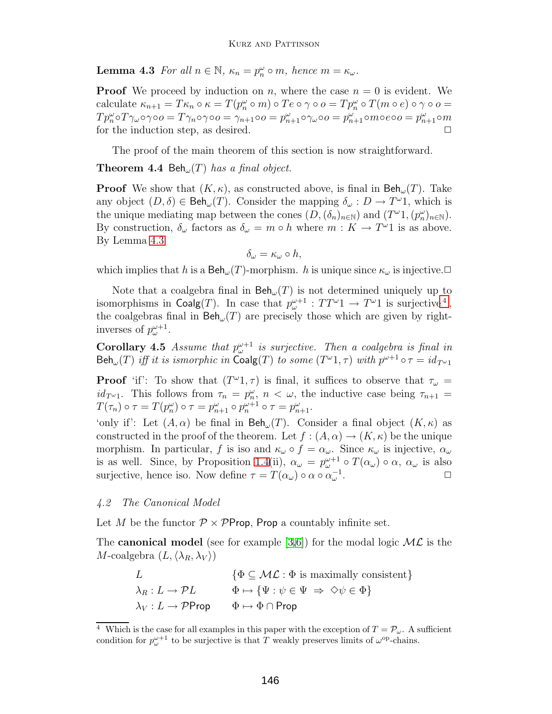**Lemma 4.3** For all  $n \in \mathbb{N}$ ,  $\kappa_n = p_n^{\omega} \circ m$ , hence  $m = \kappa_{\omega}$ .

**Proof** We proceed by induction on n, where the case  $n = 0$  is evident. We calculate  $\kappa_{n+1} = T \kappa_n \circ \kappa = T(p_n^{\omega} \circ m) \circ T e \circ \gamma \circ o = T p_n^{\omega} \circ T(m \circ e) \circ \gamma \circ o = T_{n+1} \circ T_{n+1} \circ T_{n+1} \circ T_{n+1} \circ \kappa$  $Tp_n^{\omega} \circ T \gamma_{\omega} \circ \gamma \circ o = T \gamma_n \circ \gamma \circ o = \gamma_{n+1} \circ o = p_{n+1}^{\omega} \circ \gamma_{\omega} \circ o = p_{n+1}^{\omega} \circ m \circ e \circ o = p_{n+1}^{\omega} \circ m$ for the induction step, as desired.

The proof of the main theorem of this section is now straightforward.

<span id="page-13-2"></span>**Theorem 4.4** Beh<sub> $\omega$ </sub>(T) has a final object.

**Proof** We show that  $(K, \kappa)$ , as constructed above, is final in  $\textsf{Beh}_{\omega}(T)$ . Take any object  $(D, \delta) \in \text{Beh}_{\omega}(T)$ . Consider the mapping  $\delta_{\omega}: D \to T^{\omega}1$ , which is the unique mediating map between the cones  $(D, (\delta_n)_{n \in \mathbb{N}})$  and  $(T^{\omega}1, (p_n^{\omega})_{n \in \mathbb{N}})$ . By construction,  $\delta_{\omega}$  factors as  $\delta_{\omega} = m \circ h$  where  $m : K \to T^{\omega}1$  is as above. By Lemma [4.3](#page-12-0)

$$
\delta_{\omega} = \kappa_{\omega} \circ h,
$$

which implies that h is a  $\text{Beh}_{\omega}(T)$ -morphism. h is unique since  $\kappa_{\omega}$  is injective. $\Box$ 

Note that a coalgebra final in  $\text{Beh}_{\omega}(T)$  is not determined uniquely up to isomorphisms in  $\mathsf{Coalg}(T)$ . In case that  $p^{\omega+1}_{\omega} : TT^{\omega}1 \to T^{\omega}1$  is surjective<sup>[4](#page-13-0)</sup>,<br>the coalgebras final in Beb (*T*) are precisely those which are given by rightthe coalgebras final in  $\text{Beh}_{\omega}(T)$  are precisely those which are given by rightinverses of  $p^{\omega+1}_{\omega}$ .

<span id="page-13-1"></span>**Corollary 4.5** Assume that  $p^{\omega+1}_{\omega}$  is surjective. Then a coalgebra is final in  $\mathsf{Beh}_\omega(T)$  iff it is ismorphic in  $\mathsf{Coalg}(T)$  to some  $(T^\omega 1, \tau)$  with  $p^{\omega+1} \circ \tau = id_{T^{\omega} 1}$ 

**Proof** 'if': To show that  $(T^{\omega_1}, \tau)$  is final, it suffices to observe that  $\tau_{\omega}$  =  $id_{T^{\omega_1}}$ . This follows from  $\tau_n = p_n^{\omega}$ ,  $n < \omega$ , the inductive case being  $\tau_{n+1} = T(\tau^{(\omega)})$  $T(\tau_n) \circ \tau = T(p_n^{\omega}) \circ \tau = p_{n+1}^{\omega} \circ p_n^{\omega+1} \circ \tau = p_{n+1}^{\omega}.$ 

'only if': Let  $(A, \alpha)$  be final in  $\text{Beh}_{\omega}(T)$ . Consider a final object  $(K, \kappa)$  as constructed in the proof of the theorem. Let  $f : (A, \alpha) \to (K, \kappa)$  be the unique morphism. In particular, f is iso and  $\kappa_{\omega} \circ f = \alpha_{\omega}$ . Since  $\kappa_{\omega}$  is injective,  $\alpha_{\omega}$ is as well. Since, by Proposition [1.4\(](#page-5-2)ii),  $\alpha_{\omega} = p_{\omega}^{\omega+1} \circ T(\alpha_{\omega}) \circ \alpha$ ,  $\alpha_{\omega}$  is also surjective, hence iso. Now define  $\tau = T(\alpha_\omega) \circ \alpha \circ \alpha_\omega^{-1}$ .

#### 4.2 The Canonical Model

Let M be the functor  $\mathcal{P} \times \mathcal{P}$ Prop, Prop a countably infinite set.

The **canonical model** (see for example [\[3,](#page-20-3)[6\]](#page-20-4)) for the modal logic  $ML$  is the M-coalgebra  $(L, \langle \lambda_R, \lambda_V \rangle)$ 

| $\{\Phi \subseteq \mathcal{ML} : \Phi \text{ is maximally consistent}\}\$    |
|------------------------------------------------------------------------------|
| $\Phi \mapsto {\{\Psi : \psi \in \Psi \Rightarrow \Diamond \psi \in \Phi\}}$ |
| $\Phi \mapsto \Phi \cap \mathsf{Prop}$                                       |
|                                                                              |

<span id="page-13-0"></span><sup>&</sup>lt;sup>4</sup> Which is the case for all examples in this paper with the exception of  $T = \mathcal{P}_{\omega}$ . A sufficient condition for  $p^{\omega+1}_{\omega}$  to be surjective is that T weakly preserves limits of  $\omega^{\rm op}$ -chains.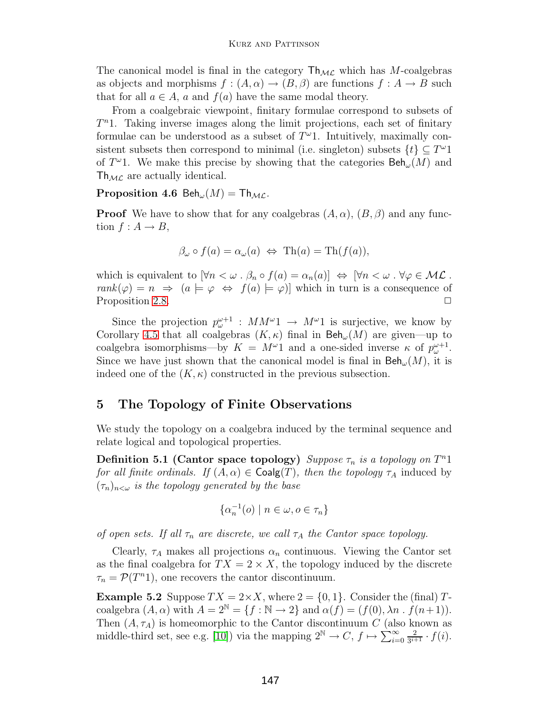The canonical model is final in the category  $\mathsf{Th}_{\mathcal{ML}}$  which has M-coalgebras as objects and morphisms  $f : (A, \alpha) \to (B, \beta)$  are functions  $f : A \to B$  such that for all  $a \in A$ , a and  $f(a)$  have the same modal theory.

From a coalgebraic viewpoint, finitary formulae correspond to subsets of  $T<sup>n</sup>1$ . Taking inverse images along the limit projections, each set of finitary formulae can be understood as a subset of  $T^{\omega}1$ . Intuitively, maximally consistent subsets then correspond to minimal (i.e. singleton) subsets  $\{t\} \subset T^{\omega}1$ of  $T^{\omega}$ 1. We make this precise by showing that the categories  $\text{Beh}_{\omega}(M)$  and  $Th_{ML}$  are actually identical.

#### **Proposition 4.6** Beh<sub> $\omega$ </sub> $(M)$  = Th<sub>ML</sub>.

**Proof** We have to show that for any coalgebras  $(A, \alpha)$ ,  $(B, \beta)$  and any function  $f: A \rightarrow B$ ,

$$
\beta_{\omega} \circ f(a) = \alpha_{\omega}(a) \iff \text{Th}(a) = \text{Th}(f(a)),
$$

which is equivalent to  $[\forall n < \omega \cdot \beta_n \circ f(a) = \alpha_n(a)] \Leftrightarrow [\forall n < \omega \cdot \forall \varphi \in \mathcal{ML}$ .  $rank(\varphi) = n \Rightarrow (a \models \varphi \Leftrightarrow f(a) \models \varphi)$  which in turn is a consequence of Proposition [2.8.](#page-9-1)  $\Box$ 

Since the projection  $p_{\omega}^{\omega+1}$  :  $MM^{\omega}1 \rightarrow M^{\omega}1$  is surjective, we know by Corollary [4.5](#page-13-1) that all coalgebras  $(K, \kappa)$  final in  $\text{Beh}_{\omega}(M)$  are given—up to coalgebra isomorphisms—by  $K = M^{\omega}1$  and a one-sided inverse  $\kappa$  of  $p_{\omega}^{\omega+1}$ . Since we have just shown that the canonical model is final in  $\text{Beh}_{\omega}(M)$ , it is indeed one of the  $(K, \kappa)$  constructed in the previous subsection.

### <span id="page-14-0"></span>**5 The Topology of Finite Observations**

We study the topology on a coalgebra induced by the terminal sequence and relate logical and topological properties.

**Definition 5.1 (Cantor space topology)** Suppose  $\tau_n$  is a topology on  $T^n1$ for all finite ordinals. If  $(A, \alpha) \in \text{Coalg}(T)$ , then the topology  $\tau_A$  induced by  $(\tau_n)_{n<\omega}$  is the topology generated by the base

$$
\{\alpha_n^{-1}(o) \mid n \in \omega, o \in \tau_n\}
$$

of open sets. If all  $\tau_n$  are discrete, we call  $\tau_A$  the Cantor space topology.

Clearly,  $\tau_A$  makes all projections  $\alpha_n$  continuous. Viewing the Cantor set as the final coalgebra for  $TX = 2 \times X$ , the topology induced by the discrete  $\tau_n = \mathcal{P}(T^n)$ , one recovers the cantor discontinuum.

<span id="page-14-1"></span>**Example 5.2** Suppose  $TX = 2 \times X$ , where  $2 = \{0, 1\}$ . Consider the (final) Tcoalgebra  $(A, \alpha)$  with  $A = 2^{\mathbb{N}} = \{f : \mathbb{N} \to 2\}$  and  $\alpha(f) = (f(0), \lambda n \cdot f(n+1)).$ Then  $(A, \tau_A)$  is homeomorphic to the Cantor discontinuum C (also known as middle-third set, see e.g. [\[10\]](#page-21-11)) via the mapping  $2^{\mathbb{N}} \to C, f \mapsto \sum_{i=1}^{\infty}$  $\sum_{i=0}^{\infty} \frac{2}{3^{i+1}} \cdot f(i).$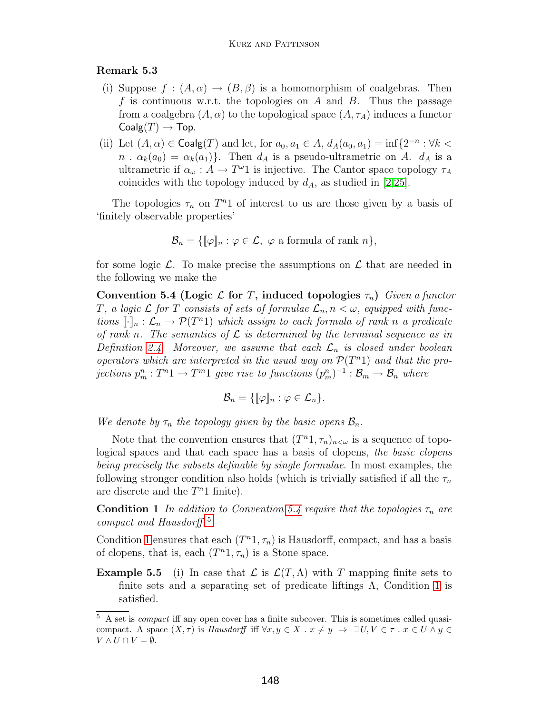#### **Remark 5.3**

- (i) Suppose  $f : (A, \alpha) \to (B, \beta)$  is a homomorphism of coalgebras. Then f is continuous w.r.t. the topologies on A and B. Thus the passage from a coalgebra  $(A, \alpha)$  to the topological space  $(A, \tau_A)$  induces a functor  $Coalg(T) \rightarrow Top.$
- (ii) Let  $(A, \alpha) \in \text{Coalg}(T)$  and let, for  $a_0, a_1 \in A$ ,  $d_A(a_0, a_1) = \inf\{2^{-n} : \forall k <$  $n \cdot \alpha_k(a_0) = \alpha_k(a_1)$ . Then  $d_A$  is a pseudo-ultrametric on A.  $d_A$  is a ultrametric if  $\alpha_{\omega}: A \to T^{\omega}1$  is injective. The Cantor space topology  $\tau_A$ coincides with the topology induced by  $d_A$ , as studied in [\[2](#page-20-5)[,25\]](#page-22-1).

The topologies  $\tau_n$  on  $T^n1$  of interest to us are those given by a basis of 'finitely observable properties'

<span id="page-15-0"></span>
$$
\mathcal{B}_n = \{ [\![\varphi]\!]_n : \varphi \in \mathcal{L}, \ \varphi \text{ a formula of rank } n \},
$$

for some logic  $\mathcal{L}$ . To make precise the assumptions on  $\mathcal{L}$  that are needed in the following we make the

**Convention 5.4 (Logic**  $\mathcal{L}$  for T, induced topologies  $\tau_n$ ) Given a functor T, a logic  $\mathcal L$  for T consists of sets of formulae  $\mathcal L_n, n < \omega$ , equipped with functions  $[\![\cdot]\!]_n : \mathcal{L}_n \to \mathcal{P}(T^n)$  which assign to each formula of rank n a predicate of rank n. The semantics of  $\mathcal L$  is determined by the terminal sequence as in Definition [2.4.](#page-8-3) Moreover, we assume that each  $\mathcal{L}_n$  is closed under boolean operators which are interpreted in the usual way on  $\mathcal{P}(T^n)$  and that the projections  $p_m^n: T^n1 \to T^m1$  give rise to functions  $(p_m^n)^{-1} : \mathcal{B}_m \to \mathcal{B}_n$  where

$$
\mathcal{B}_n = \{ [\![\varphi]\!]_n : \varphi \in \mathcal{L}_n \}.
$$

We denote by  $\tau_n$  the topology given by the basic opens  $\mathcal{B}_n$ .

Note that the convention ensures that  $(T^{n_1}, \tau_n)_{n<\omega}$  is a sequence of topological spaces and that each space has a basis of clopens, the basic clopens being precisely the subsets definable by single formulae. In most examples, the following stronger condition also holds (which is trivially satisfied if all the  $\tau_n$ are discrete and the  $T<sup>n</sup>1$  finite).

<span id="page-15-2"></span>**Condition 1** In addition to Convention [5.4](#page-15-0) require that the topologies  $\tau_n$  are compact and Hausdorff. [5](#page-15-1)

Condition [1](#page-15-2) ensures that each  $(T^{n_1}, \tau_n)$  is Hausdorff, compact, and has a basis of clopens, that is, each  $(T^n1, \tau_n)$  is a Stone space.

**Example 5.5** (i) In case that  $\mathcal{L}$  is  $\mathcal{L}(T,\Lambda)$  with T mapping finite sets to finite sets and a separating set of predicate liftings  $\Lambda$ , Condition [1](#page-15-2) is satisfied.

<span id="page-15-1"></span><sup>5</sup> A set is *compact* iff any open cover has a finite subcover. This is sometimes called quasicompact. A space  $(X, \tau)$  is *Hausdorff* iff  $\forall x, y \in X$ .  $x \neq y \Rightarrow \exists U, V \in \tau$ .  $x \in U \wedge y \in$  $V \wedge U \cap V = \emptyset.$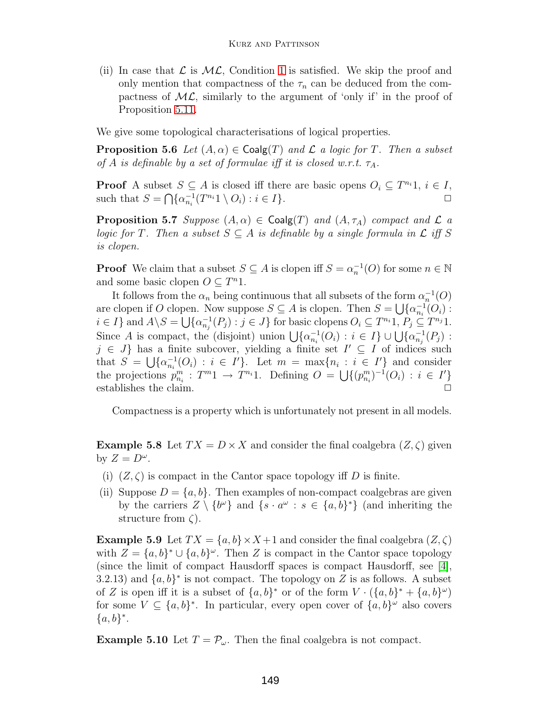(ii) In case that  $\mathcal L$  is  $\mathcal {ML}$ , Condition [1](#page-15-2) is satisfied. We skip the proof and only mention that compactness of the  $\tau_n$  can be deduced from the compactness of  $ML$ , similarly to the argument of 'only if' in the proof of Proposition [5.11.](#page-17-1)

<span id="page-16-0"></span>We give some topological characterisations of logical properties.

**Proposition 5.6** Let  $(A, \alpha) \in \text{Coalg}(T)$  and L a logic for T. Then a subset of A is definable by a set of formulae iff it is closed w.r.t.  $\tau_A$ .

**Proof** A subset  $S \subseteq A$  is closed iff there are basic opens  $O_i \subseteq T^{n_i}1$ ,  $i \in I$ , such that  $S = \bigcap \{\alpha_{n_i}^{-1}(T^{n_i}1 \setminus O_i) : i \in I\}.$ 

**Proposition 5.7** Suppose  $(A, \alpha) \in \text{Coalg}(T)$  and  $(A, \tau_A)$  compact and  $\mathcal{L}$  a logic for T. Then a subset  $S \subseteq A$  is definable by a single formula in  $\mathcal L$  iff S is clopen.

**Proof** We claim that a subset  $S \subseteq A$  is clopen iff  $S = \alpha_n^{-1}(O)$  for some  $n \in \mathbb{N}$ and some basic clopen  $O \subseteq T^n1$ .

It follows from the  $\alpha_n$  being continuous that all subsets of the form  $\alpha_n^{-1}(O)$ are clopen if O clopen. Now suppose  $S \subseteq A$  is clopen. Then  $S = \bigcup \{\alpha_{n_i}^{-1}(O_i) :$  $i \in I$ } and  $A \backslash S = \bigcup \{\alpha_{n_j}^{-1}(P_j) : j \in J\}$  for basic clopens  $O_i \subseteq T^{n_i}1$ ,  $P_j \subseteq T^{n_j}1$ . Since A is compact, the (disjoint) union  $\bigcup \{\alpha_{n_i}^{-1}(O_i) : i \in I\} \cup \bigcup \{\alpha_{n_j}^{-1}(P_j) : i \in I\}$  $j \in J$  has a finite subcover, yielding a finite set  $I' \subseteq I$  of indices such that  $S = \bigcup \{\alpha_{n_i}^{-1}(O_i) : i \in I'\}$ . Let  $m = \max\{n_i : i \in I'\}$  and consider the projections  $p_{n_i}^m : T^{m_1} \to T^{n_i}1$ . Defining  $O = \bigcup \{(p_{n_i}^m)^{-1}(O_i) : i \in I'\}$ establishes the claim.  $\Box$ 

Compactness is a property which is unfortunately not present in all models.

<span id="page-16-1"></span>**Example 5.8** Let  $TX = D \times X$  and consider the final coalgebra  $(Z, \zeta)$  given by  $Z = D^{\omega}$ .

- (i)  $(Z,\zeta)$  is compact in the Cantor space topology iff D is finite.
- (ii) Suppose  $D = \{a, b\}$ . Then examples of non-compact coalgebras are given by the carriers  $Z \setminus \{b^{\omega}\}\$ and  $\{s \cdot a^{\omega} : s \in \{a, b\}^*\}$  (and inheriting the structure from  $\zeta$ ).

**Example 5.9** Let  $TX = \{a, b\} \times X + 1$  and consider the final coalgebra  $(Z, \zeta)$ with  $Z = \{a, b\}^* \cup \{a, b\}^{\omega}$ . Then Z is compact in the Cantor space topology (since the limit of compact Hausdorff spaces is compact Hausdorff, see [\[4\]](#page-20-6), 3.2.13) and  $\{a, b\}^*$  is not compact. The topology on Z is as follows. A subset of Z is open iff it is a subset of  $\{a, b\}^*$  or of the form  $V \cdot (\{a, b\}^* + \{a, b\}^\omega)$ for some  $V \subseteq \{a, b\}^*$ . In particular, every open cover of  $\{a, b\}^\omega$  also covers  ${a, b}^*$ .

<span id="page-16-2"></span>**Example 5.10** Let  $T = \mathcal{P}_{\omega}$ . Then the final coalgebra is not compact.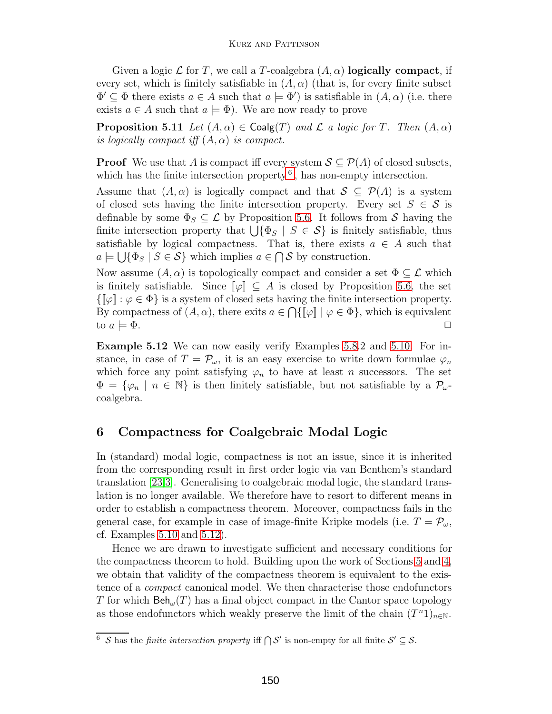Given a logic  $\mathcal L$  for T, we call a T-coalgebra  $(A, \alpha)$  **logically compact**, if every set, which is finitely satisfiable in  $(A, \alpha)$  (that is, for every finite subset  $\Phi' \subseteq \Phi$  there exists  $a \in A$  such that  $a \models \Phi'$  is satisfiable in  $(A, \alpha)$  (i.e. there exists  $a \in A$  such that  $a \models \Phi$ ). We are now ready to prove

<span id="page-17-1"></span>**Proposition 5.11** Let  $(A, \alpha) \in \text{Coalg}(T)$  and L a logic for T. Then  $(A, \alpha)$ is logically compact iff  $(A, \alpha)$  is compact.

**Proof** We use that A is compact iff every system  $S \subseteq \mathcal{P}(A)$  of closed subsets, which has the finite intersection property  $6$ , has non-empty intersection.

Assume that  $(A, \alpha)$  is logically compact and that  $S \subseteq \mathcal{P}(A)$  is a system of closed sets having the finite intersection property. Every set  $S \in \mathcal{S}$  is definable by some  $\Phi_S \subseteq \mathcal{L}$  by Proposition [5.6.](#page-16-0) It follows from S having the finite intersection property that  $\bigcup \{\Phi_S \mid S \in \mathcal{S}\}\$ is finitely satisfiable, thus satisfiable by logical compactness. That is, there exists  $a \in A$  such that  $a \models \bigcup \{\Phi_S \mid S \in \mathcal{S}\}\$  which implies  $a \in \bigcap \mathcal{S}$  by construction.

Now assume  $(A, \alpha)$  is topologically compact and consider a set  $\Phi \subseteq \mathcal{L}$  which is finitely satisfiable. Since  $[\varphi] \subseteq A$  is closed by Proposition [5.6,](#page-16-0) the set  $\{\llbracket \varphi \rrbracket : \varphi \in \Phi\}$  is a system of closed sets having the finite intersection property. By compactness of  $(A, \alpha)$ , there exits  $a \in \bigcap \{ \llbracket \varphi \rrbracket \mid \varphi \in \Phi \}$ , which is equivalent to  $a \models \Phi$ .

<span id="page-17-3"></span>**Example 5.12** We can now easily verify Examples [5.8.](#page-16-1)2 and [5.10.](#page-16-2) For instance, in case of  $T = \mathcal{P}_{\omega}$ , it is an easy exercise to write down formulae  $\varphi_n$ which force any point satisfying  $\varphi_n$  to have at least n successors. The set  $\Phi = {\varphi_n \mid n \in \mathbb{N}}$  is then finitely satisfiable, but not satisfiable by a  $\mathcal{P}_{\omega}$ coalgebra.

# <span id="page-17-0"></span>**6 Compactness for Coalgebraic Modal Logic**

In (standard) modal logic, compactness is not an issue, since it is inherited from the corresponding result in first order logic via van Benthem's standard translation [\[23](#page-21-12)[,3\]](#page-20-3).Generalising to coalgebraic modal logic, the standard translation is no longer available.We therefore have to resort to different means in order to establish a compactness theorem.Moreover, compactness fails in the general case, for example in case of image-finite Kripke models (i.e.  $T = \mathcal{P}_{\omega}$ , cf. Examples [5.10](#page-16-2) and [5.12\)](#page-17-3).

Hence we are drawn to investigate sufficient and necessary conditions for the compactness theorem to hold. Building upon the work of Sections  $5$  and  $4$ , we obtain that validity of the compactness theorem is equivalent to the existence of a compact canonical model.We then characterise those endofunctors T for which  $\text{Beh}_{\omega}(T)$  has a final object compact in the Cantor space topology as those endofunctors which weakly preserve the limit of the chain  $(T^n1)_{n\in\mathbb{N}}$ .

<span id="page-17-2"></span><sup>&</sup>lt;sup>6</sup> S has the *finite intersection property* iff  $\bigcap \mathcal{S}'$  is non-empty for all finite  $\mathcal{S}' \subseteq \mathcal{S}$ .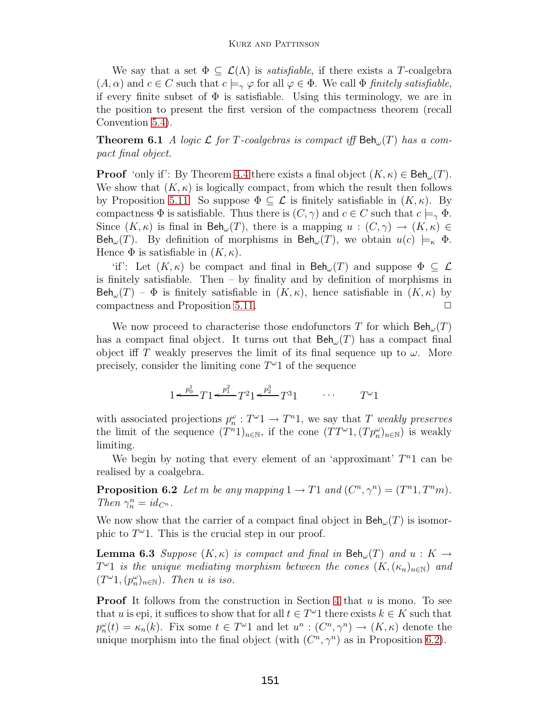We say that a set  $\Phi \subseteq \mathcal{L}(\Lambda)$  is *satisfiable*, if there exists a T-coalgebra  $(A, \alpha)$  and  $c \in C$  such that  $c \models_{\gamma} \varphi$  for all  $\varphi \in \Phi$ . We call  $\Phi$  finitely satisfiable, if every finite subset of  $\Phi$  is satisfiable. Using this terminology, we are in the position to present the first version of the compactness theorem (recall Convention [5.4\)](#page-15-0).

**Theorem 6.1** A logic L for T-coalgebras is compact iff  $\text{Beh}_{\omega}(T)$  has a compact final object.

**Proof** 'only if': By Theorem [4.4](#page-13-2) there exists a final object  $(K, \kappa) \in \text{Beh}_{\omega}(T)$ . We show that  $(K, \kappa)$  is logically compact, from which the result then follows by Proposition [5.11.](#page-17-1) So suppose  $\Phi \subseteq \mathcal{L}$  is finitely satisfiable in  $(K, \kappa)$ . By compactness  $\Phi$  is satisfiable. Thus there is  $(C, \gamma)$  and  $c \in C$  such that  $c \models_{\gamma} \Phi$ . Since  $(K, \kappa)$  is final in  $\text{Beh}_{\omega}(T)$ , there is a mapping  $u : (C, \gamma) \to (K, \kappa) \in$ Beh<sub>ω</sub> $(T)$ . By definition of morphisms in Beh<sub>ω</sub> $(T)$ , we obtain  $u(c) \models_{\kappa} \Phi$ . Hence  $\Phi$  is satisfiable in  $(K, \kappa)$ .

'if': Let  $(K, \kappa)$  be compact and final in  $\text{Beh}_{\omega}(T)$  and suppose  $\Phi \subseteq \mathcal{L}$ is finitely satisfiable. Then – by finality and by definition of morphisms in Beh<sub>ω</sub>(T) –  $\Phi$  is finitely satisfiable in  $(K, \kappa)$ , hence satisfiable in  $(K, \kappa)$  by compactness and Proposition 5.11. compactness and Proposition [5.11.](#page-17-1)

We now proceed to characterise those endofunctors T for which  $\text{Beh}_{\omega}(T)$ has a compact final object. It turns out that  $\text{Beh}_{\omega}(T)$  has a compact final object iff T weakly preserves the limit of its final sequence up to  $\omega$ . More precisely, consider the limiting cone  $T^{\omega}1$  of the sequence

$$
1 \leftarrow \frac{p_0^1}{T} T 1 \leftarrow \frac{p_1^2}{T} T^2 1 \leftarrow \frac{p_2^3}{T} T^3 1 \qquad \cdots \qquad T^{\omega} 1
$$

with associated projections  $p_n^{\omega}: T^{\omega} \to T^n \mathbb{1}$ , we say that T weakly preserves the limit of the sequence  $(T^{n_1})_{n \in \mathbb{N}}$ , if the cone  $(TT^{\omega_1}, (Tp_n^{\omega})_{n \in \mathbb{N}})$  is weakly limiting.

<span id="page-18-0"></span>We begin by noting that every element of an 'approximant'  $T<sup>n</sup>1$  can be realised by a coalgebra.

**Proposition 6.2** Let m be any mapping  $1 \rightarrow T1$  and  $(C^n, \gamma^n) = (T^n 1, T^n m)$ . Then  $\gamma_n^n = id_{C^n}$ .

We now show that the carrier of a compact final object in  $\text{Beh}_{\omega}(T)$  is isomorphic to  $T^{\omega}1$ . This is the crucial step in our proof.

**Lemma 6.3** Suppose  $(K, \kappa)$  is compact and final in  $\text{Beh}_{\omega}(T)$  and  $u : K \rightarrow$  $T^{\omega}1$  is the unique mediating morphism between the cones  $(K,(\kappa_n)_{n\in\mathbb{N}})$  and  $(T^{\omega}1,(p_n^{\omega})_{n\in\mathbb{N}})$ . Then u is iso.

**Proof** It follows from the construction in Section [4](#page-11-0) that  $u$  is mono. To see that u is epi, it suffices to show that for all  $t \in T^{\omega}1$  there exists  $k \in K$  such that  $p_n^{\omega}(t) = \kappa_n(k)$ . Fix some  $t \in T^{\omega}1$  and let  $u^n : (C^n, \gamma^n) \to (K, \kappa)$  denote the unique morphism into the final object (with  $(C^n, \gamma^n)$  as in Proposition [6.2\)](#page-18-0).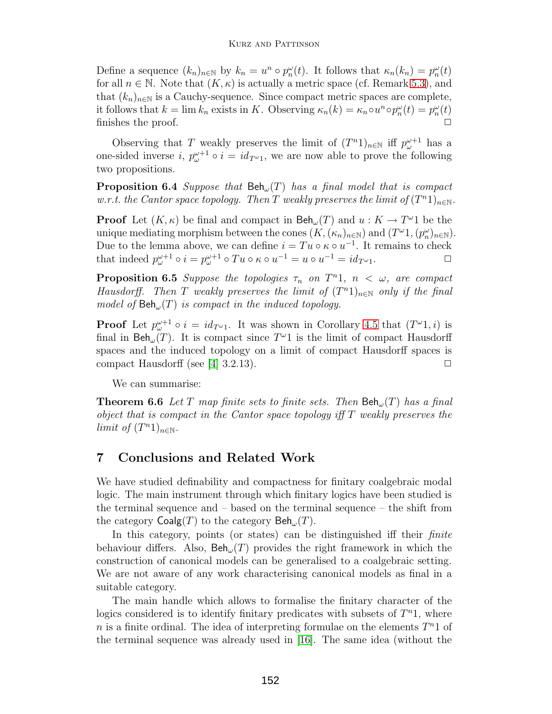Define a sequence  $(k_n)_{n\in\mathbb{N}}$  by  $k_n = u^n \circ p_n^{\omega}(t)$ . It follows that  $\kappa_n(k_n) = p_n^{\omega}(t)$ for all  $n \in \mathbb{N}$ . Note that  $(K, \kappa)$  is actually a metric space (cf. Remark [5.3\)](#page-14-1), and that  $(k_n)_{n\in\mathbb{N}}$  is a Cauchy-sequence. Since compact metric spaces are complete, it follows that  $k = \lim k_n$  exists in K. Observing  $\kappa_n(k) = \kappa_n \circ u^n \circ p_n^{\omega}(k) = p_n^{\omega}(k)$ finishes the proof.

Observing that T weakly preserves the limit of  $(T^n 1)_{n \in \mathbb{N}}$  iff  $p_{\omega}^{\omega+1}$  has a one-sided inverse  $i, p_{\omega}^{\omega+1} \circ i = id_{T^{\omega_1}}$ , we are now able to prove the following two propositions.

**Proposition 6.4** Suppose that  $\text{Beh}_{\omega}(T)$  has a final model that is compact w.r.t. the Cantor space topology. Then T weakly preserves the limit of  $(T^n1)_{n\in\mathbb{N}}$ .

**Proof** Let  $(K, \kappa)$  be final and compact in  $\text{Beh}_{\omega}(T)$  and  $u : K \to T^{\omega}1$  be the unique mediating morphism between the cones  $(K,(\kappa_n)_{n\in\mathbb{N}})$  and  $(T^{\omega_1},(p_n^{\omega})_{n\in\mathbb{N}})$ . Due to the lemma above, we can define  $i = Tu \circ \kappa \circ u^{-1}$ . It remains to check that indeed  $p_{\omega}^{\omega+1} \circ i = p_{\omega}^{\omega+1} \circ Tu \circ \kappa \circ u^{-1} = u \circ u^{-1} = id_{T^{\omega}1}$ .

**Proposition 6.5** Suppose the topologies  $\tau_n$  on  $T^n$ 1,  $n < \omega$ , are compact Hausdorff. Then T weakly preserves the limit of  $(T^{n_1})_{n\in\mathbb{N}}$  only if the final model of  $\text{Beh}_{\omega}(T)$  is compact in the induced topology.

**Proof** Let  $p_{\omega}^{\omega+1} \circ i = id_{T^{\omega_1}}$ . It was shown in Corollary [4.5](#page-13-1) that  $(T^{\omega_1}, i)$  is fixed in Ref. (T). It is convexed since  $T^{\omega_1}$  is the limit of convexed Hausland final in  $\text{Beh}_{\omega}(T)$ . It is compact since  $T^{\omega}1$  is the limit of compact Hausdorff spaces and the induced topology on a limit of compact Hausdorff spaces is compact Hausdorff (see [\[4\]](#page-20-6) 3.2.13).  $\Box$ 

We can summarise:

**Theorem 6.6** Let T map finite sets to finite sets. Then  $\text{Beh}_{\omega}(T)$  has a final object that is compact in the Cantor space topology iff T weakly preserves the limit of  $(T^n 1)_{n\in\mathbb{N}}$ .

# **7 Conclusions and Related Work**

We have studied definability and compactness for finitary coalgebraic modal logic. The main instrument through which finitary logics have been studied is the terminal sequence and – based on the terminal sequence – the shift from the category  $\mathsf{Coalg}(T)$  to the category  $\mathsf{Beh}_{\omega}(T)$ .

In this category, points (or states) can be distinguished iff their *finite* behaviour differs. Also,  $\text{Beh}_{\omega}(T)$  provides the right framework in which the construction of canonical models can be generalised to a coalgebraic setting. We are not aware of any work characterising canonical models as final in a suitable category.

The main handle which allows to formalise the finitary character of the logics considered is to identify finitary predicates with subsets of  $T<sup>n</sup>1$ , where n is a finite ordinal. The idea of interpreting formulae on the elements  $T<sup>n</sup>1$  of the terminal sequence was already used in [\[16\]](#page-21-8).The same idea (without the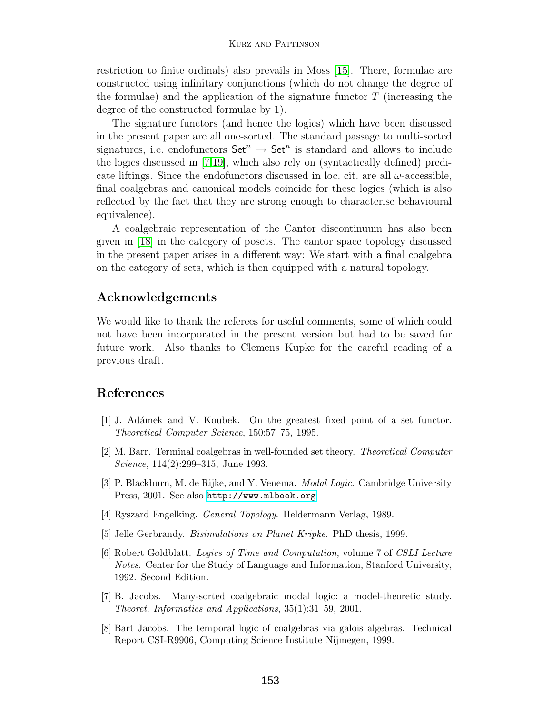restriction to finite ordinals) also prevails in Moss [\[15\]](#page-21-1).There, formulae are constructed using infinitary conjunctions (which do not change the degree of the formulae) and the application of the signature functor  $T$  (increasing the degree of the constructed formulae by 1).

The signature functors (and hence the logics) which have been discussed in the present paper are all one-sorted.The standard passage to multi-sorted signatures, i.e. endofunctors  $\mathsf{Set}^n \to \mathsf{Set}^n$  is standard and allows to include the logics discussed in [\[7,](#page-20-7)[19\]](#page-21-13), which also rely on (syntactically defined) predicate liftings. Since the endofunctors discussed in loc. cit. are all  $\omega$ -accessible, final coalgebras and canonical models coincide for these logics (which is also reflected by the fact that they are strong enough to characterise behavioural equivalence).

A coalgebraic representation of the Cantor discontinuum has also been given in [\[18\]](#page-21-14) in the category of posets.The cantor space topology discussed in the present paper arises in a different way: We start with a final coalgebra on the category of sets, which is then equipped with a natural topology.

# **Acknowledgements**

We would like to thank the referees for useful comments, some of which could not have been incorporated in the present version but had to be saved for future work. Also thanks to Clemens Kupke for the careful reading of a previous draft.

# <span id="page-20-1"></span>**References**

- [1] J. Ad´amek and V. Koubek. On the greatest fixed point of a set functor. *Theoretical Computer Science*, 150:57–75, 1995.
- <span id="page-20-5"></span>[2] M. Barr. Terminal coalgebras in well-founded set theory. *Theoretical Computer Science*, 114(2):299–315, June 1993.
- <span id="page-20-3"></span>[3] P. Blackburn, M. de Rijke, and Y. Venema. *Modal Logic*. Cambridge University Press, 2001. See also <http://www.mlbook.org>.
- <span id="page-20-6"></span><span id="page-20-2"></span>[4] Ryszard Engelking. *General Topology*. Heldermann Verlag, 1989.
- <span id="page-20-4"></span>[5] Jelle Gerbrandy. *Bisimulations on Planet Kripke*. PhD thesis, 1999.
- [6] Robert Goldblatt. *Logics of Time and Computation*, volume 7 of *CSLI Lecture Notes*. Center for the Study of Language and Information, Stanford University, 1992. Second Edition.
- <span id="page-20-7"></span>[7] B. Jacobs. Many-sorted coalgebraic modal logic: a model-theoretic study. *Theoret. Informatics and Applications*, 35(1):31–59, 2001.
- <span id="page-20-0"></span>[8] Bart Jacobs. The temporal logic of coalgebras via galois algebras. Technical Report CSI-R9906, Computing Science Institute Nijmegen, 1999.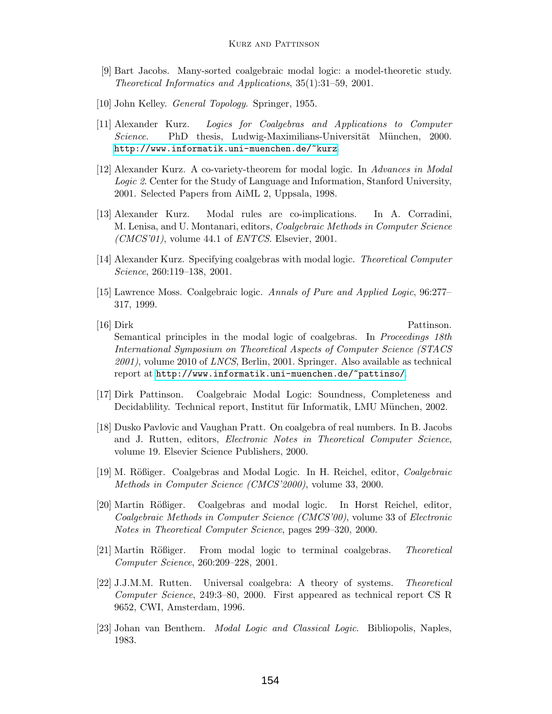- <span id="page-21-5"></span>[9] Bart Jacobs. Many-sorted coalgebraic modal logic: a model-theoretic study. *Theoretical Informatics and Applications*, 35(1):31–59, 2001.
- <span id="page-21-11"></span><span id="page-21-10"></span>[10] John Kelley. *General Topology*. Springer, 1955.
- [11] Alexander Kurz. *Logics for Coalgebras and Applications to Computer Science*. PhD thesis, Ludwig-Maximilians-Universität München, 2000. <http://www.informatik.uni-muenchen.de/~kurz>.
- <span id="page-21-6"></span>[12] Alexander Kurz. A co-variety-theorem for modal logic. In *Advances in Modal Logic 2*. Center for the Study of Language and Information, Stanford University, 2001. Selected Papers from AiML 2, Uppsala, 1998.
- <span id="page-21-7"></span>[13] Alexander Kurz. Modal rules are co-implications. In A. Corradini, M. Lenisa, and U. Montanari, editors, *Coalgebraic Methods in Computer Science (CMCS'01)*, volume 44.1 of *ENTCS*. Elsevier, 2001.
- <span id="page-21-2"></span>[14] Alexander Kurz. Specifying coalgebras with modal logic. *Theoretical Computer Science*, 260:119–138, 2001.
- <span id="page-21-1"></span>[15] Lawrence Moss. Coalgebraic logic. *Annals of Pure and Applied Logic*, 96:277– 317, 1999.
- <span id="page-21-8"></span>[16] Dirk Pattinson. Semantical principles in the modal logic of coalgebras. In *Proceedings 18th International Symposium on Theoretical Aspects of Computer Science (STACS 2001)*, volume 2010 of *LNCS*, Berlin, 2001. Springer. Also available as technical report at <http://www.informatik.uni-muenchen.de/~pattinso/>.
- <span id="page-21-14"></span><span id="page-21-9"></span>[17] Dirk Pattinson. Coalgebraic Modal Logic: Soundness, Completeness and Decidablility. Technical report, Institut für Informatik, LMU München, 2002.
- [18] Dusko Pavlovic and Vaughan Pratt. On coalgebra of real numbers. In B. Jacobs and J. Rutten, editors, *Electronic Notes in Theoretical Computer Science*, volume 19. Elsevier Science Publishers, 2000.
- <span id="page-21-13"></span><span id="page-21-4"></span>[19] M. R¨oßiger. Coalgebras and Modal Logic. In H. Reichel, editor, *Coalgebraic Methods in Computer Science (CMCS'2000)*, volume 33, 2000.
- [20] Martin Rößiger. Coalgebras and modal logic. In Horst Reichel, editor, *Coalgebraic Methods in Computer Science (CMCS'00)*, volume 33 of *Electronic Notes in Theoretical Computer Science*, pages 299–320, 2000.
- <span id="page-21-3"></span>[21] Martin R¨oßiger. From modal logic to terminal coalgebras. *Theoretical Computer Science*, 260:209–228, 2001.
- <span id="page-21-0"></span>[22] J.J.M.M. Rutten. Universal coalgebra: A theory of systems. *Theoretical Computer Science*, 249:3–80, 2000. First appeared as technical report CS R 9652, CWI, Amsterdam, 1996.
- <span id="page-21-12"></span>[23] Johan van Benthem. *Modal Logic and Classical Logic*. Bibliopolis, Naples, 1983.